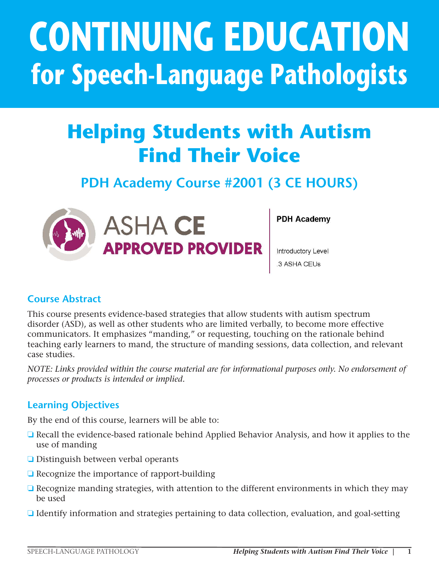# **CONTINUING EDUCATION for Speech-Language Pathologists**

# **Helping Students with Autism Find Their Voice**

# **PDH Academy Course #2001 (3 CE HOURS)**



**ASHA CE APPROVED PROVIDER**  **PDH Academy** 

Introductory Level 3 ASHA CEUs

### **Course Abstract**

This course presents evidence-based strategies that allow students with autism spectrum disorder (ASD), as well as other students who are limited verbally, to become more effective communicators. It emphasizes "manding," or requesting, touching on the rationale behind teaching early learners to mand, the structure of manding sessions, data collection, and relevant case studies.

This course is offered for .3 ASHA CEUs (Introductory level, Professional area).

*NOTE: Links provided within the course material are for informational purposes only. No endorsement of processes or products is intended or implied.*

### **Learning Objectives**

By the end of this course, learners will be able to:

- ❏ Recall the evidence-based rationale behind Applied Behavior Analysis, and how it applies to the use of manding
- ❏ Distinguish between verbal operants
- ❏ Recognize the importance of rapport-building
- ❏ Recognize manding strategies, with attention to the different environments in which they may be used
- ❏ Identify information and strategies pertaining to data collection, evaluation, and goal-setting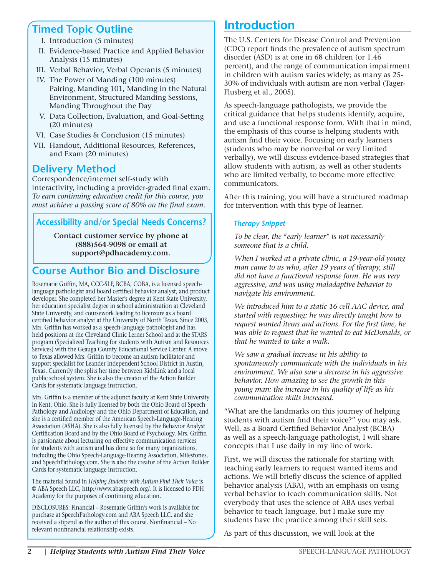### **Timed Topic Outline**

- I. Introduction (5 minutes)
- II. Evidence-based Practice and Applied Behavior Analysis (15 minutes)
- III. Verbal Behavior, Verbal Operants (5 minutes)
- IV. The Power of Manding (100 minutes) Pairing, Manding 101, Manding in the Natural Environment, Structured Manding Sessions, Manding Throughout the Day
- V. Data Collection, Evaluation, and Goal-Setting (20 minutes)
- VI. Case Studies & Conclusion (15 minutes)
- VII. Handout, Additional Resources, References, and Exam (20 minutes)

# **Delivery Method**

Correspondence/internet self-study with interactivity, including a provider-graded final exam. *To earn continuing education credit for this course, you must achieve a passing score of 80% on the final exam.*

#### **Accessibility and/or Special Needs Concerns?**

**Contact customer service by phone at (888)564-9098 or email at support@pdhacademy.com.**

# **Course Author Bio and Disclosure**

Rosemarie Griffin, MA, CCC-SLP, BCBA, COBA, is a licensed speechlanguage pathologist and board certified behavior analyst, and product developer. She completed her Master's degree at Kent State University, her education specialist degree in school administration at Cleveland State University, and coursework leading to licensure as a board certified behavior analyst at the University of North Texas. Since 2003, Mrs. Griffin has worked as a speech-language pathologist and has held positions at the Cleveland Clinic Lerner School and at the STARS program (Specialized Teaching for students with Autism and Resources Services) with the Geauga County Educational Service Center. A move to Texas allowed Mrs. Griffin to become an autism facilitator and support specialist for Leander Independent School District in Austin, Texas. Currently she splits her time between KidsLink and a local public school system. She is also the creator of the Action Builder Cards for systematic language instruction.

Mrs. Griffin is a member of the adjunct faculty at Kent State University in Kent, Ohio. She is fully licensed by both the Ohio Board of Speech Pathology and Audiology and the Ohio Department of Education, and she is a certified member of the American Speech-Language-Hearing Association (ASHA). She is also fully licensed by the Behavior Analyst Certification Board and by the Ohio Board of Psychology. Mrs. Griffin is passionate about lecturing on effective communication services for students with autism and has done so for many organizations, including the Ohio Speech-Language-Hearing Association, Milestones, and SpeechPathology.com. She is also the creator of the Action Builder Cards for systematic language instruction.

The material found in *Helping Students with Autism Find Their Voice* is © ABA Speech LLC, http://www.abaspeech.org/. It is licensed to PDH Academy for the purposes of continuing education.

DISCLOSURES: Financial – Rosemarie Griffin's work is available for purchase at SpeechPathology.com and ABA Speech LLC, and she received a stipend as the author of this course. Nonfinancial – No relevant nonfinancial relationship exists.

# Introduction

The U.S. Centers for Disease Control and Prevention (CDC) report finds the prevalence of autism spectrum disorder (ASD) is at one in 68 children (or 1.46 percent), and the range of communication impairment in children with autism varies widely; as many as 25- 30% of individuals with autism are non verbal (Tager-Flusberg et al., 2005).

As speech-language pathologists, we provide the critical guidance that helps students identify, acquire, and use a functional response form. With that in mind, the emphasis of this course is helping students with autism find their voice. Focusing on early learners (students who may be nonverbal or very limited verbally), we will discuss evidence-based strategies that allow students with autism, as well as other students who are limited verbally, to become more effective communicators.

After this training, you will have a structured roadmap for intervention with this type of learner.

#### *Therapy Snippet*

 *To be clear, the "early learner" is not necessarily someone that is a child.* 

 *When I worked at a private clinic, a 19-year-old young man came to us who, after 19 years of therapy, still did not have a functional response form. He was very aggressive, and was using maladaptive behavior to navigate his environment.* 

 *We introduced him to a static 16 cell AAC device, and started with requesting: he was directly taught how to request wanted items and actions. For the first time, he was able to request that he wanted to eat McDonalds, or that he wanted to take a walk.* 

 *We saw a gradual increase in his ability to spontaneously communicate with the individuals in his environment. We also saw a decrease in his aggressive behavior. How amazing to see the growth in this young man: the increase in his quality of life as his communication skills increased.* 

"What are the landmarks on this journey of helping students with autism find their voice?" you may ask. Well, as a Board Certified Behavior Analyst (BCBA) as well as a speech-language pathologist, I will share concepts that I use daily in my line of work.

First, we will discuss the rationale for starting with teaching early learners to request wanted items and actions. We will briefly discuss the science of applied behavior analysis (ABA), with an emphasis on using verbal behavior to teach communication skills. Not everybody that uses the science of ABA uses verbal behavior to teach language, but I make sure my students have the practice among their skill sets.

As part of this discussion, we will look at the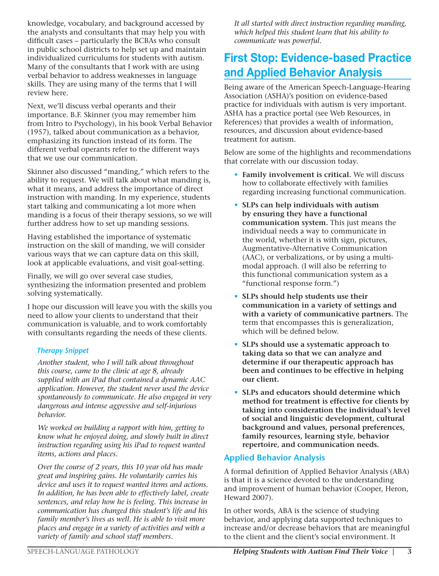knowledge, vocabulary, and background accessed by the analysts and consultants that may help you with difficult cases – particularly the BCBAs who consult in public school districts to help set up and maintain individualized curriculums for students with autism. Many of the consultants that I work with are using verbal behavior to address weaknesses in language skills. They are using many of the terms that I will review here.

Next, we'll discuss verbal operants and their importance. B.F. Skinner (you may remember him from Intro to Psychology), in his book Verbal Behavior (1957), talked about communication as a behavior, emphasizing its function instead of its form. The different verbal operants refer to the different ways that we use our communication.

Skinner also discussed "manding," which refers to the ability to request. We will talk about what manding is, what it means, and address the importance of direct instruction with manding. In my experience, students start talking and communicating a lot more when manding is a focus of their therapy sessions, so we will further address how to set up manding sessions.

Having established the importance of systematic instruction on the skill of manding, we will consider various ways that we can capture data on this skill, look at applicable evaluations, and visit goal-setting.

Finally, we will go over several case studies, synthesizing the information presented and problem solving systematically.

I hope our discussion will leave you with the skills you need to allow your clients to understand that their communication is valuable, and to work comfortably with consultants regarding the needs of these clients.

#### *Therapy Snippet*

 *Another student, who I will talk about throughout this course, came to the clinic at age 8, already supplied with an iPad that contained a dynamic AAC application. However, the student never used the device spontaneously to communicate. He also engaged in very dangerous and intense aggressive and self-injurious behavior.* 

 *We worked on building a rapport with him, getting to know what he enjoyed doing, and slowly built in direct instruction regarding using his iPad to request wanted items, actions and places.* 

 *Over the course of 2 years, this 10 year old has made great and inspiring gains. He voluntarily carries his device and uses it to request wanted items and actions. In addition, he has been able to effectively label, create sentences, and relay how he is feeling. This increase in communication has changed this student's life and his family member's lives as well. He is able to visit more places and engage in a variety of activities and with a variety of family and school staff members.* 

 *It all started with direct instruction regarding manding, which helped this student learn that his ability to communicate was powerful.*

# First Stop: Evidence-based Practice and Applied Behavior Analysis

Being aware of the American Speech-Language-Hearing Association (ASHA)'s position on evidence-based practice for individuals with autism is very important. ASHA has a practice portal (see Web Resources, in References) that provides a wealth of information, resources, and discussion about evidence-based treatment for autism.

Below are some of the highlights and recommendations that correlate with our discussion today.

- **Family involvement is critical.** We will discuss how to collaborate effectively with families regarding increasing functional communication.
- **SLPs can help individuals with autism by ensuring they have a functional communication system.** This just means the individual needs a way to communicate in the world, whether it is with sign, pictures, Augmentative-Alternative Communication (AAC), or verbalizations, or by using a multimodal approach. (I will also be referring to this functional communication system as a "functional response form.")
- **SLPs should help students use their communication in a variety of settings and with a variety of communicative partners.** The term that encompasses this is generalization, which will be defined below.
- **SLPs should use a systematic approach to taking data so that we can analyze and determine if our therapeutic approach has been and continues to be effective in helping our client.**
- **SLPs and educators should determine which method for treatment is effective for clients by taking into consideration the individual's level of social and linguistic development, cultural background and values, personal preferences, family resources, learning style, behavior repertoire, and communication needs.**

#### **Applied Behavior Analysis**

A formal definition of Applied Behavior Analysis (ABA) is that it is a science devoted to the understanding and improvement of human behavior (Cooper, Heron, Heward 2007).

In other words, ABA is the science of studying behavior, and applying data supported techniques to increase and/or decrease behaviors that are meaningful to the client and the client's social environment. It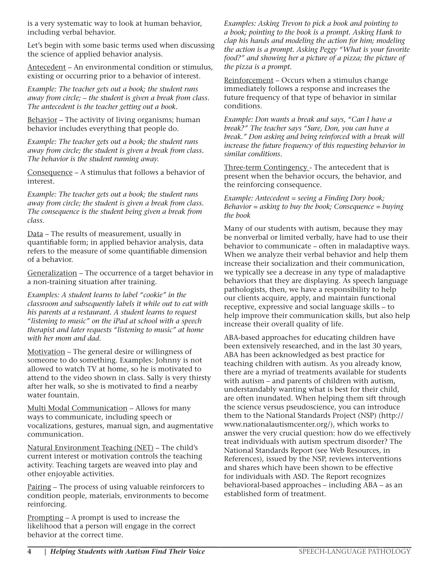is a very systematic way to look at human behavior, including verbal behavior.

Let's begin with some basic terms used when discussing the science of applied behavior analysis.

Antecedent – An environmental condition or stimulus, existing or occurring prior to a behavior of interest.

*Example: The teacher gets out a book; the student runs away from circle; – the student is given a break from class. The antecedent is the teacher getting out a book.* 

Behavior – The activity of living organisms; human behavior includes everything that people do.

*Example: The teacher gets out a book; the student runs away from circle; the student is given a break from class. The behavior is the student running away.* 

Consequence – A stimulus that follows a behavior of interest.

*Example: The teacher gets out a book; the student runs away from circle; the student is given a break from class. The consequence is the student being given a break from class.* 

Data – The results of measurement, usually in quantifiable form; in applied behavior analysis, data refers to the measure of some quantifiable dimension of a behavior.

Generalization – The occurrence of a target behavior in a non-training situation after training.

*Examples: A student learns to label "cookie" in the classroom and subsequently labels it while out to eat with his parents at a restaurant. A student learns to request "listening to music" on the iPad at school with a speech therapist and later requests "listening to music" at home with her mom and dad.*

Motivation – The general desire or willingness of someone to do something. Examples: Johnny is not allowed to watch TV at home, so he is motivated to attend to the video shown in class. Sally is very thirsty after her walk, so she is motivated to find a nearby water fountain.

Multi Modal Communication – Allows for many ways to communicate, including speech or vocalizations, gestures, manual sign, and augmentative communication.

Natural Environment Teaching (NET) – The child's current interest or motivation controls the teaching activity. Teaching targets are weaved into play and other enjoyable activities.

Pairing – The process of using valuable reinforcers to condition people, materials, environments to become reinforcing.

Prompting – A prompt is used to increase the likelihood that a person will engage in the correct behavior at the correct time.

*Examples: Asking Trevon to pick a book and pointing to a book; pointing to the book is a prompt. Asking Hank to clap his hands and modeling the action for him; modeling the action is a prompt. Asking Peggy "What is your favorite*  food?" and showing her a picture of a pizza; the picture of *the pizza is a prompt.* 

Reinforcement – Occurs when a stimulus change immediately follows a response and increases the future frequency of that type of behavior in similar conditions.

*Example: Don wants a break and says, "Can I have a break?" The teacher says "Sure, Don, you can have a break." Don asking and being reinforced with a break will increase the future frequency of this requesting behavior in similar conditions.* 

Three-term Contingency - The antecedent that is present when the behavior occurs, the behavior, and the reinforcing consequence.

*Example: Antecedent = seeing a Finding Dory book; Behavior = asking to buy the book; Consequence = buying the book* 

Many of our students with autism, because they may be nonverbal or limited verbally, have had to use their behavior to communicate – often in maladaptive ways. When we analyze their verbal behavior and help them increase their socialization and their communication, we typically see a decrease in any type of maladaptive behaviors that they are displaying. As speech language pathologists, then, we have a responsibility to help our clients acquire, apply, and maintain functional receptive, expressive and social language skills – to help improve their communication skills, but also help increase their overall quality of life.

ABA-based approaches for educating children have been extensively researched, and in the last 30 years, ABA has been acknowledged as best practice for teaching children with autism. As you already know, there are a myriad of treatments available for students with autism – and parents of children with autism, understandably wanting what is best for their child, are often inundated. When helping them sift through the science versus pseudoscience, you can introduce them to the National Standards Project (NSP) (http:// www.nationalautismcenter.org/), which works to answer the very crucial question: how do we effectively treat individuals with autism spectrum disorder? The National Standards Report (see Web Resources, in References), issued by the NSP, reviews interventions and shares which have been shown to be effective for individuals with ASD. The Report recognizes behavioral-based approaches – including ABA – as an established form of treatment.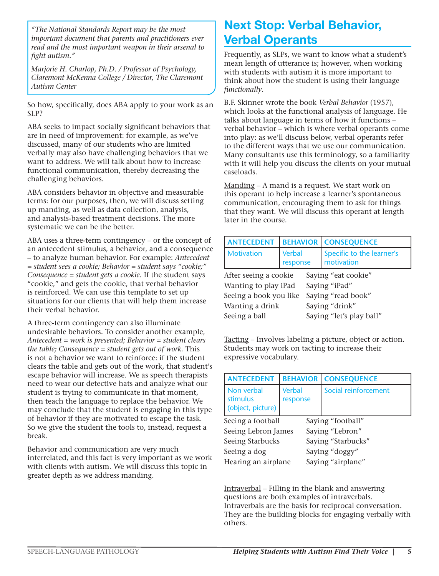*"The National Standards Report may be the most important document that parents and practitioners ever read and the most important weapon in their arsenal to fight autism."*

*Marjorie H. Charlop, Ph.D. / Professor of Psychology, Claremont McKenna College / Director, The Claremont Autism Center*

So how, specifically, does ABA apply to your work as an SLP?

ABA seeks to impact socially significant behaviors that are in need of improvement: for example, as we've discussed, many of our students who are limited verbally may also have challenging behaviors that we want to address. We will talk about how to increase functional communication, thereby decreasing the challenging behaviors.

ABA considers behavior in objective and measurable terms: for our purposes, then, we will discuss setting up manding, as well as data collection, analysis, and analysis-based treatment decisions. The more systematic we can be the better.

ABA uses a three-term contingency – or the concept of an antecedent stimulus, a behavior, and a consequence – to analyze human behavior. For example: *Antecedent = student sees a cookie; Behavior = student says "cookie;" Consequence = student gets a cookie.* If the student says "cookie," and gets the cookie, that verbal behavior is reinforced. We can use this template to set up situations for our clients that will help them increase their verbal behavior.

A three-term contingency can also illuminate undesirable behaviors. To consider another example, *Antecedent = work is presented; Behavior = student clears the table; Consequence = student gets out of work.* This is not a behavior we want to reinforce: if the student clears the table and gets out of the work, that student's escape behavior will increase. We as speech therapists need to wear our detective hats and analyze what our student is trying to communicate in that moment, then teach the language to replace the behavior. We may conclude that the student is engaging in this type of behavior if they are motivated to escape the task. So we give the student the tools to, instead, request a break.

Behavior and communication are very much interrelated, and this fact is very important as we work with clients with autism. We will discuss this topic in greater depth as we address manding.

# Next Stop: Verbal Behavior, Verbal Operants

Frequently, as SLPs, we want to know what a student's mean length of utterance is; however, when working with students with autism it is more important to think about how the student is using their language *functionally*.

B.F. Skinner wrote the book *Verbal Behavior* (1957), which looks at the functional analysis of language. He talks about language in terms of how it functions – verbal behavior – which is where verbal operants come into play: as we'll discuss below, verbal operants refer to the different ways that we use our communication. Many consultants use this terminology, so a familiarity with it will help you discuss the clients on your mutual caseloads.

Manding – A mand is a request. We start work on this operant to help increase a learner's spontaneous communication, encouraging them to ask for things that they want. We will discuss this operant at length later in the course.

| <b>ANTECEDENT</b>      |                           |                          | <b>BEHAVIOR   CONSEQUENCE</b>           |  |  |
|------------------------|---------------------------|--------------------------|-----------------------------------------|--|--|
| <b>Motivation</b>      | <b>Verbal</b><br>response |                          | Specific to the learner's<br>motivation |  |  |
| After seeing a cookie  |                           |                          | Saying "eat cookie"                     |  |  |
| Wanting to play iPad   |                           |                          | Saying "iPad"                           |  |  |
| Seeing a book you like |                           |                          | Saying "read book"                      |  |  |
| Wanting a drink        |                           | Saying "drink"           |                                         |  |  |
| Seeing a ball          |                           | Saying "let's play ball" |                                         |  |  |

Tacting – Involves labeling a picture, object or action. Students may work on tacting to increase their expressive vocabulary.

| <b>ANTECEDENT</b>                           | <b>BEHAVIOR</b>           | <b>CONSEQUENCE</b>   |  |  |
|---------------------------------------------|---------------------------|----------------------|--|--|
| Non verbal<br>stimulus<br>(object, picture) | <b>Verbal</b><br>response | Social reinforcement |  |  |
| Seeing a football                           |                           | Saying "football"    |  |  |
| Seeing Lebron James                         |                           | Saying "Lebron"      |  |  |
| Seeing Starbucks                            |                           | Saying "Starbucks"   |  |  |
| Seeing a dog                                |                           | Saying "doggy"       |  |  |
| Hearing an airplane                         |                           | Saying "airplane"    |  |  |

Intraverbal – Filling in the blank and answering questions are both examples of intraverbals. Intraverbals are the basis for reciprocal conversation. They are the building blocks for engaging verbally with others.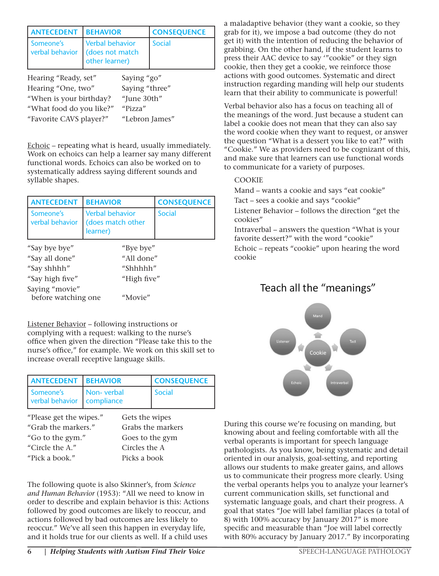| <b>ANTECEDENT</b>            | <b>BEHAVIOR</b>                                             | <b>CONSEQUENCE</b> |  |
|------------------------------|-------------------------------------------------------------|--------------------|--|
| Someone's<br>verbal behavior | <b>Verbal behavior</b><br>(does not match<br>other learner) | Social             |  |
| Hearing "Ready, set"         | Saying "go"                                                 |                    |  |

| Hearing "One, two"       | Saying "three" |
|--------------------------|----------------|
| "When is your birthday?  | "June 30th"    |
| "What food do you like?" | "Pizza"        |
| "Favorite CAVS player?"  | "Lebron James" |
|                          |                |

Echoic – repeating what is heard, usually immediately. Work on echoics can help a learner say many different functional words. Echoics can also be worked on to systematically address saying different sounds and syllable shapes.

| <b>ANTECEDENT</b>            | <b>BEHAVIOR</b>                                         | <b>CONSEQUENCE</b> |  |  |
|------------------------------|---------------------------------------------------------|--------------------|--|--|
| Someone's<br>verbal behavior | <b>Verbal behavior</b><br>(does match other<br>learner) | <b>Social</b>      |  |  |
| "Say bye bye"                | "Bye bye"                                               |                    |  |  |
| "Say all done"               |                                                         | "All done"         |  |  |
| "Say shhhh"                  |                                                         | "Shhhhh"           |  |  |
| "Say high five"              |                                                         | "High five"        |  |  |
| Saying "movie"               |                                                         |                    |  |  |
| before watching one          | "Movie"                                                 |                    |  |  |

Listener Behavior – following instructions or complying with a request: walking to the nurse's office when given the direction "Please take this to the nurse's office," for example. We work on this skill set to increase overall receptive language skills.

| <b>ANTECEDENT   BEHAVIOR</b>              |            | <b>CONSEQUENCE</b> |
|-------------------------------------------|------------|--------------------|
| Someone's<br>verbal behavior   compliance | Non-verbal | <b>Social</b>      |

| "Please get the wipes." |
|-------------------------|
| "Grab the markers."     |
| "Go to the gym."        |
| "Circle the $A''$       |
| "Pick a book."          |
|                         |

Gets the wipes. Grabs the markers. Goes to the gym. Circles the A. Picks a book.

The following quote is also Skinner's, from *Science and Human Behavior* (1953): "All we need to know in order to describe and explain behavior is this: Actions followed by good outcomes are likely to reoccur, and actions followed by bad outcomes are less likely to reoccur." We've all seen this happen in everyday life, and it holds true for our clients as well. If a child uses

a maladaptive behavior (they want a cookie, so they grab for it), we impose a bad outcome (they do not get it) with the intention of reducing the behavior of grabbing. On the other hand, if the student learns to press their AAC device to say '"cookie" or they sign cookie, then they get a cookie, we reinforce those actions with good outcomes. Systematic and direct instruction regarding manding will help our students learn that their ability to communicate is powerful!

Verbal behavior also has a focus on teaching all of the meanings of the word. Just because a student can label a cookie does not mean that they can also say the word cookie when they want to request, or answer the question "What is a dessert you like to eat?" with "Cookie." We as providers need to be cognizant of this, and make sure that learners can use functional words to communicate for a variety of purposes.

#### COOKIE

Mand – wants a cookie and says "eat cookie" Tact – sees a cookie and says "cookie"

Listener Behavior – follows the direction "get the cookies"

Intraverbal – answers the question "What is your favorite dessert?" with the word "cookie"

Echoic – repeats "cookie" upon hearing the word cookie

### Teach all the "meanings"



During this course we're focusing on manding, but knowing about and feeling comfortable with all the verbal operants is important for speech language pathologists. As you know, being systematic and detail oriented in our analysis, goal-setting, and reporting allows our students to make greater gains, and allows us to communicate their progress more clearly. Using the verbal operants helps you to analyze your learner's current communication skills, set functional and systematic language goals, and chart their progress. A goal that states "Joe will label familiar places (a total of 8) with 100% accuracy by January 2017" is more specific and measurable than "Joe will label correctly with 80% accuracy by January 2017." By incorporating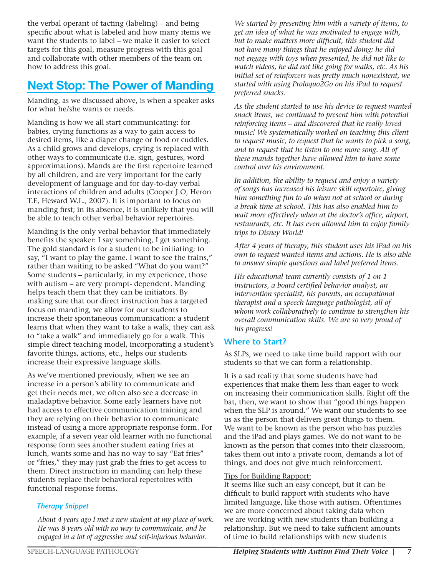the verbal operant of tacting (labeling) – and being specific about what is labeled and how many items we want the students to label – we make it easier to select targets for this goal, measure progress with this goal and collaborate with other members of the team on how to address this goal.

# Next Stop: The Power of Manding

Manding, as we discussed above, is when a speaker asks for what he/she wants or needs.

Manding is how we all start communicating: for babies, crying functions as a way to gain access to desired items, like a diaper change or food or cuddles. As a child grows and develops, crying is replaced with other ways to communicate (i.e. sign, gestures, word approximations). Mands are the first repertoire learned by all children, and are very important for the early development of language and for day-to-day verbal interactions of children and adults (Cooper J.O, Heron T.E, Heward W.L., 2007). It is important to focus on manding first; in its absence, it is unlikely that you will be able to teach other verbal behavior repertoires.

Manding is the only verbal behavior that immediately benefits the speaker: I say something, I get something. The gold standard is for a student to be initiating; to say, "I want to play the game. I want to see the trains," rather than waiting to be asked "What do you want?" Some students – particularly, in my experience, those with autism – are very prompt- dependent. Manding helps teach them that they can be initiators. By making sure that our direct instruction has a targeted focus on manding, we allow for our students to increase their spontaneous communication: a student learns that when they want to take a walk, they can ask to "take a walk" and immediately go for a walk. This simple direct teaching model, incorporating a student's favorite things, actions, etc., helps our students increase their expressive language skills.

As we've mentioned previously, when we see an increase in a person's ability to communicate and get their needs met, we often also see a decrease in maladaptive behavior. Some early learners have not had access to effective communication training and they are relying on their behavior to communicate instead of using a more appropriate response form. For example, if a seven year old learner with no functional response form sees another student eating fries at lunch, wants some and has no way to say "Eat fries" or "fries," they may just grab the fries to get access to them. Direct instruction in manding can help these students replace their behavioral repertoires with functional response forms.

#### *Therapy Snippet*

 *About 4 years ago I met a new student at my place of work. He was 8 years old with no way to communicate, and he engaged in a lot of aggressive and self-injurious behavior.* 

 *We started by presenting him with a variety of items, to get an idea of what he was motivated to engage with, but to make matters more difficult, this student did not have many things that he enjoyed doing: he did not engage with toys when presented, he did not like to watch videos, he did not like going for walks, etc. As his initial set of reinforcers was pretty much nonexistent, we started with using Proloquo2Go on his iPad to request preferred snacks.* 

 *As the student started to use his device to request wanted snack items, we continued to present him with potential reinforcing items – and discovered that he really loved music! We systematically worked on teaching this client to request music, to request that he wants to pick a song, and to request that he listen to one more song. All of these mands together have allowed him to have some control over his environment.*

 *In addition, the ability to request and enjoy a variety of songs has increased his leisure skill repertoire, giving him something fun to do when not at school or during a break time at school. This has also enabled him to wait more effectively when at the doctor's office, airport, restaurants, etc. It has even allowed him to enjoy family trips to Disney World!*

 *After 4 years of therapy, this student uses his iPad on his own to request wanted items and actions. He is also able to answer simple questions and label preferred items.* 

 *His educational team currently consists of 1 on 1 instructors, a board certified behavior analyst, an intervention specialist, his parents, an occupational therapist and a speech language pathologist, all of whom work collaboratively to continue to strengthen his overall communication skills. We are so very proud of his progress!* 

#### **Where to Start?**

As SLPs, we need to take time build rapport with our students so that we can form a relationship.

It is a sad reality that some students have had experiences that make them less than eager to work on increasing their communication skills. Right off the bat, then, we want to show that "good things happen when the SLP is around." We want our students to see us as the person that delivers great things to them. We want to be known as the person who has puzzles and the iPad and plays games. We do not want to be known as the person that comes into their classroom, takes them out into a private room, demands a lot of things, and does not give much reinforcement.

#### Tips for Building Rapport:

It seems like such an easy concept, but it can be difficult to build rapport with students who have limited language, like those with autism. Oftentimes we are more concerned about taking data when we are working with new students than building a relationship. But we need to take sufficient amounts of time to build relationships with new students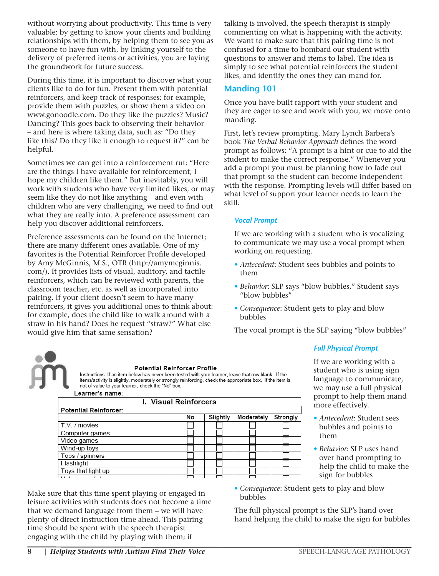without worrying about productivity. This time is very valuable: by getting to know your clients and building relationships with them, by helping them to see you as someone to have fun with, by linking yourself to the delivery of preferred items or activities, you are laying the groundwork for future success.

During this time, it is important to discover what your clients like to do for fun. Present them with potential reinforcers, and keep track of responses: for example, provide them with puzzles, or show them a video on www.gonoodle.com. Do they like the puzzles? Music? Dancing? This goes back to observing their behavior – and here is where taking data, such as: "Do they like this? Do they like it enough to request it?" can be helpful.

Sometimes we can get into a reinforcement rut: "Here are the things I have available for reinforcement; I hope my children like them." But inevitably, you will work with students who have very limited likes, or may seem like they do not like anything – and even with children who are very challenging, we need to find out what they are really into. A preference assessment can help you discover additional reinforcers.

Preference assessments can be found on the Internet; there are many different ones available. One of my favorites is the Potential Reinforcer Profile developed by Amy McGinnis, M.S., OTR (http://amymcginnis. com/). It provides lists of visual, auditory, and tactile reinforcers, which can be reviewed with parents, the classroom teacher, etc. as well as incorporated into pairing. If your client doesn't seem to have many reinforcers, it gives you additional ones to think about: for example, does the child like to walk around with a straw in his hand? Does he request "straw?" What else would give him that same sensation?

talking is involved, the speech therapist is simply commenting on what is happening with the activity. We want to make sure that this pairing time is not confused for a time to bombard our student with questions to answer and items to label. The idea is simply to see what potential reinforcers the student likes, and identify the ones they can mand for.

#### **Manding 101**

Once you have built rapport with your student and they are eager to see and work with you, we move onto manding.

First, let's review prompting. Mary Lynch Barbera's book *The Verbal Behavior Approach* defines the word prompt as follows: "A prompt is a hint or cue to aid the student to make the correct response." Whenever you add a prompt you must be planning how to fade out that prompt so the student can become independent with the response. Prompting levels will differ based on what level of support your learner needs to learn the skill.

#### *Vocal Prompt*

If we are working with a student who is vocalizing to communicate we may use a vocal prompt when working on requesting.

- *• Antecedent*: Student sees bubbles and points to them
- *• Behavior*: SLP says "blow bubbles," Student says "blow bubbles"
- *• Consequence*: Student gets to play and blow bubbles

The vocal prompt is the SLP saying "blow bubbles"



#### Potential Reinforcer Profile

Instructions: If an item below has never been tested with your learner, leave that row blank. If the items/activity is slightly, moderately or strongly reinforcing, check the appropriate box. If the item is not of value to your learner, check the "No" box.

| Learner's name: |  |
|-----------------|--|
|                 |  |

| <b>I. Visual Reinforcers</b> |    |          |            |          |  |  |
|------------------------------|----|----------|------------|----------|--|--|
| <b>Potential Reinforcer:</b> |    |          |            |          |  |  |
|                              | No | Slightly | Moderately | Strongly |  |  |
| T.V. / movies                |    |          |            |          |  |  |
| Computer games               |    |          |            |          |  |  |
| Video games                  |    |          |            |          |  |  |
| Wind-up toys                 |    |          |            |          |  |  |
| Tops / spinners              |    |          |            |          |  |  |
| Flashlight                   |    |          |            |          |  |  |
| Toys that light up           |    |          |            |          |  |  |
| $\cdots$                     |    |          |            |          |  |  |

Make sure that this time spent playing or engaged in leisure activities with students does not become a time that we demand language from them – we will have plenty of direct instruction time ahead. This pairing time should be spent with the speech therapist engaging with the child by playing with them; if

If we are working with a student who is using sign language to communicate, we may use a full physical prompt to help them mand

*Full Physical Prompt*

more effectively.

- *• Antecedent*: Student sees bubbles and points to them
- *• Behavior*: SLP uses hand over hand prompting to help the child to make the sign for bubbles
- *• Consequence*: Student gets to play and blow bubbles

The full physical prompt is the SLP's hand over hand helping the child to make the sign for bubbles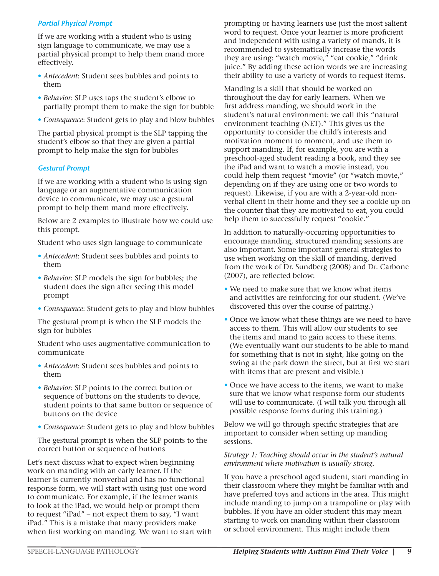#### *Partial Physical Prompt*

If we are working with a student who is using sign language to communicate, we may use a partial physical prompt to help them mand more effectively.

- *• Antecedent*: Student sees bubbles and points to them
- *• Behavior*: SLP uses taps the student's elbow to partially prompt them to make the sign for bubble
- *• Consequence*: Student gets to play and blow bubbles

The partial physical prompt is the SLP tapping the student's elbow so that they are given a partial prompt to help make the sign for bubbles

#### *Gestural Prompt*

If we are working with a student who is using sign language or an augmentative communication device to communicate, we may use a gestural prompt to help them mand more effectively.

Below are 2 examples to illustrate how we could use this prompt.

Student who uses sign language to communicate

- *• Antecedent*: Student sees bubbles and points to them
- *• Behavior*: SLP models the sign for bubbles; the student does the sign after seeing this model prompt
- *• Consequence*: Student gets to play and blow bubbles

The gestural prompt is when the SLP models the sign for bubbles

Student who uses augmentative communication to communicate

- *• Antecedent*: Student sees bubbles and points to them
- *• Behavior*: SLP points to the correct button or sequence of buttons on the students to device, student points to that same button or sequence of buttons on the device
- *• Consequence*: Student gets to play and blow bubbles

The gestural prompt is when the SLP points to the correct button or sequence of buttons

Let's next discuss what to expect when beginning work on manding with an early learner. If the learner is currently nonverbal and has no functional response form, we will start with using just one word to communicate. For example, if the learner wants to look at the iPad, we would help or prompt them to request "iPad" – not expect them to say, "I want iPad." This is a mistake that many providers make when first working on manding. We want to start with prompting or having learners use just the most salient word to request. Once your learner is more proficient and independent with using a variety of mands, it is recommended to systematically increase the words they are using: "watch movie," "eat cookie," "drink juice." By adding these action words we are increasing their ability to use a variety of words to request items.

Manding is a skill that should be worked on throughout the day for early learners. When we first address manding, we should work in the student's natural environment: we call this "natural environment teaching (NET)." This gives us the opportunity to consider the child's interests and motivation moment to moment, and use them to support manding. If, for example, you are with a preschool-aged student reading a book, and they see the iPad and want to watch a movie instead, you could help them request "movie" (or "watch movie," depending on if they are using one or two words to request). Likewise, if you are with a 2-year-old nonverbal client in their home and they see a cookie up on the counter that they are motivated to eat, you could help them to successfully request "cookie."

In addition to naturally-occurring opportunities to encourage manding, structured manding sessions are also important. Some important general strategies to use when working on the skill of manding, derived from the work of Dr. Sundberg (2008) and Dr. Carbone (2007), are reflected below:

- *•* We need to make sure that we know what items and activities are reinforcing for our student. (We've discovered this over the course of pairing.)
- *•* Once we know what these things are we need to have access to them. This will allow our students to see the items and mand to gain access to these items. (We eventually want our students to be able to mand for something that is not in sight, like going on the swing at the park down the street, but at first we start with items that are present and visible.)
- *•* Once we have access to the items, we want to make sure that we know what response form our students will use to communicate. (I will talk you through all possible response forms during this training.)

Below we will go through specific strategies that are important to consider when setting up manding sessions.

#### *Strategy 1: Teaching should occur in the student's natural environment where motivation is usually strong.*

If you have a preschool aged student, start manding in their classroom where they might be familiar with and have preferred toys and actions in the area. This might include manding to jump on a trampoline or play with bubbles. If you have an older student this may mean starting to work on manding within their classroom or school environment. This might include them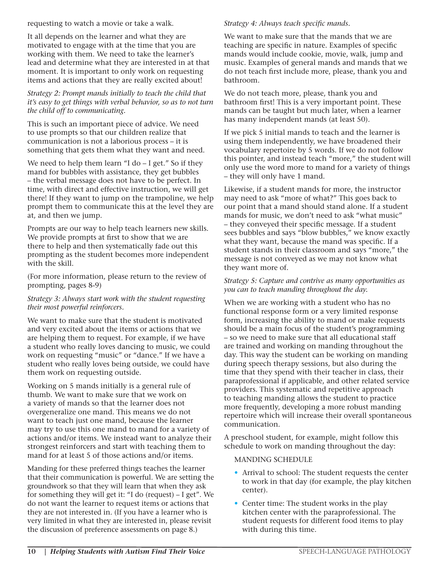requesting to watch a movie or take a walk.

It all depends on the learner and what they are motivated to engage with at the time that you are working with them. We need to take the learner's lead and determine what they are interested in at that moment. It is important to only work on requesting items and actions that they are really excited about!

#### *Strategy 2: Prompt mands initially to teach the child that it's easy to get things with verbal behavior, so as to not turn the child off to communicating.*

This is such an important piece of advice. We need to use prompts so that our children realize that communication is not a laborious process – it is something that gets them what they want and need.

We need to help them learn "I do – I get." So if they mand for bubbles with assistance, they get bubbles – the verbal message does not have to be perfect. In time, with direct and effective instruction, we will get there! If they want to jump on the trampoline, we help prompt them to communicate this at the level they are at, and then we jump.

Prompts are our way to help teach learners new skills. We provide prompts at first to show that we are there to help and then systematically fade out this prompting as the student becomes more independent with the skill.

(For more information, please return to the review of prompting, pages 8-9)

#### *Strategy 3: Always start work with the student requesting their most powerful reinforcers.*

We want to make sure that the student is motivated and very excited about the items or actions that we are helping them to request. For example, if we have a student who really loves dancing to music, we could work on requesting "music" or "dance." If we have a student who really loves being outside, we could have them work on requesting outside.

Working on 5 mands initially is a general rule of thumb. We want to make sure that we work on a variety of mands so that the learner does not overgeneralize one mand. This means we do not want to teach just one mand, because the learner may try to use this one mand to mand for a variety of actions and/or items. We instead want to analyze their strongest reinforcers and start with teaching them to mand for at least 5 of those actions and/or items.

Manding for these preferred things teaches the learner that their communication is powerful. We are setting the groundwork so that they will learn that when they ask for something they will get it: "I do (request) – I get". We do not want the learner to request items or actions that they are not interested in. (If you have a learner who is very limited in what they are interested in, please revisit the discussion of preference assessments on page 8.)

#### *Strategy 4: Always teach specific mands.*

We want to make sure that the mands that we are teaching are specific in nature. Examples of specific mands would include cookie, movie, walk, jump and music. Examples of general mands and mands that we do not teach first include more, please, thank you and bathroom.

We do not teach more, please, thank you and bathroom first! This is a very important point. These mands can be taught but much later, when a learner has many independent mands (at least 50).

If we pick 5 initial mands to teach and the learner is using them independently, we have broadened their vocabulary repertoire by 5 words. If we do not follow this pointer, and instead teach "more," the student will only use the word more to mand for a variety of things – they will only have 1 mand.

Likewise, if a student mands for more, the instructor may need to ask "more of what?" This goes back to our point that a mand should stand alone. If a student mands for music, we don't need to ask "what music" – they conveyed their specific message. If a student sees bubbles and says "blow bubbles," we know exactly what they want, because the mand was specific. If a student stands in their classroom and says "more," the message is not conveyed as we may not know what they want more of.

#### *Strategy 5: Capture and contrive as many opportunities as you can to teach manding throughout the day.*

When we are working with a student who has no functional response form or a very limited response form, increasing the ability to mand or make requests should be a main focus of the student's programming – so we need to make sure that all educational staff are trained and working on manding throughout the day. This way the student can be working on manding during speech therapy sessions, but also during the time that they spend with their teacher in class, their paraprofessional if applicable, and other related service providers. This systematic and repetitive approach to teaching manding allows the student to practice more frequently, developing a more robust manding repertoire which will increase their overall spontaneous communication.

A preschool student, for example, might follow this schedule to work on manding throughout the day:

#### MANDING SCHEDULE

- Arrival to school: The student requests the center to work in that day (for example, the play kitchen center).
- Center time: The student works in the play kitchen center with the paraprofessional. The student requests for different food items to play with during this time.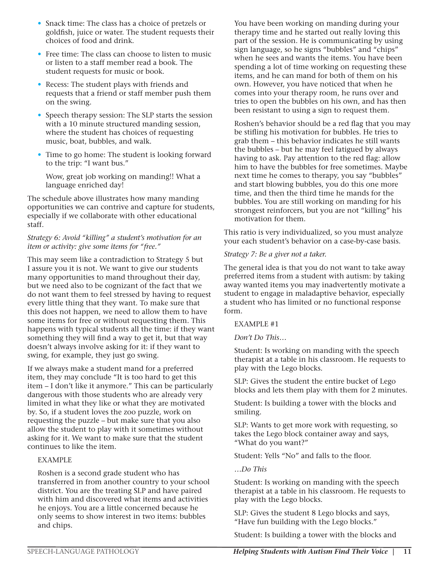- Snack time: The class has a choice of pretzels or goldfish, juice or water. The student requests their choices of food and drink.
- Free time: The class can choose to listen to music or listen to a staff member read a book. The student requests for music or book.
- Recess: The student plays with friends and requests that a friend or staff member push them on the swing.
- Speech therapy session: The SLP starts the session with a 10 minute structured manding session, where the student has choices of requesting music, boat, bubbles, and walk.
- Time to go home: The student is looking forward to the trip: "I want bus."

 Wow, great job working on manding!! What a language enriched day!

The schedule above illustrates how many manding opportunities we can contrive and capture for students, especially if we collaborate with other educational staff.

#### *Strategy 6: Avoid "killing" a student's motivation for an item or activity: give some items for "free."*

This may seem like a contradiction to Strategy 5 but I assure you it is not. We want to give our students many opportunities to mand throughout their day, but we need also to be cognizant of the fact that we do not want them to feel stressed by having to request every little thing that they want. To make sure that this does not happen, we need to allow them to have some items for free or without requesting them. This happens with typical students all the time: if they want something they will find a way to get it, but that way doesn't always involve asking for it: if they want to swing, for example, they just go swing.

If we always make a student mand for a preferred item, they may conclude "It is too hard to get this item – I don't like it anymore." This can be particularly dangerous with those students who are already very limited in what they like or what they are motivated by. So, if a student loves the zoo puzzle, work on requesting the puzzle – but make sure that you also allow the student to play with it sometimes without asking for it. We want to make sure that the student continues to like the item.

#### EXAMPLE

Roshen is a second grade student who has transferred in from another country to your school district. You are the treating SLP and have paired with him and discovered what items and activities he enjoys. You are a little concerned because he only seems to show interest in two items: bubbles and chips.

You have been working on manding during your therapy time and he started out really loving this part of the session. He is communicating by using sign language, so he signs "bubbles" and "chips" when he sees and wants the items. You have been spending a lot of time working on requesting these items, and he can mand for both of them on his own. However, you have noticed that when he comes into your therapy room, he runs over and tries to open the bubbles on his own, and has then been resistant to using a sign to request them.

Roshen's behavior should be a red flag that you may be stifling his motivation for bubbles. He tries to grab them – this behavior indicates he still wants the bubbles – but he may feel fatigued by always having to ask. Pay attention to the red flag: allow him to have the bubbles for free sometimes. Maybe next time he comes to therapy, you say "bubbles" and start blowing bubbles, you do this one more time, and then the third time he mands for the bubbles. You are still working on manding for his strongest reinforcers, but you are not "killing" his motivation for them.

This ratio is very individualized, so you must analyze your each student's behavior on a case-by-case basis.

#### *Strategy 7: Be a giver not a taker.*

The general idea is that you do not want to take away preferred items from a student with autism: by taking away wanted items you may inadvertently motivate a student to engage in maladaptive behavior, especially a student who has limited or no functional response form.

EXAMPLE #1

*Don't Do This…* 

Student: Is working on manding with the speech therapist at a table in his classroom. He requests to play with the Lego blocks.

SLP: Gives the student the entire bucket of Lego blocks and lets them play with them for 2 minutes.

Student: Is building a tower with the blocks and smiling.

SLP: Wants to get more work with requesting, so takes the Lego block container away and says, "What do you want?"

Student: Yells "No" and falls to the floor.

*…Do This*

Student: Is working on manding with the speech therapist at a table in his classroom. He requests to play with the Lego blocks.

SLP: Gives the student 8 Lego blocks and says, "Have fun building with the Lego blocks."

Student: Is building a tower with the blocks and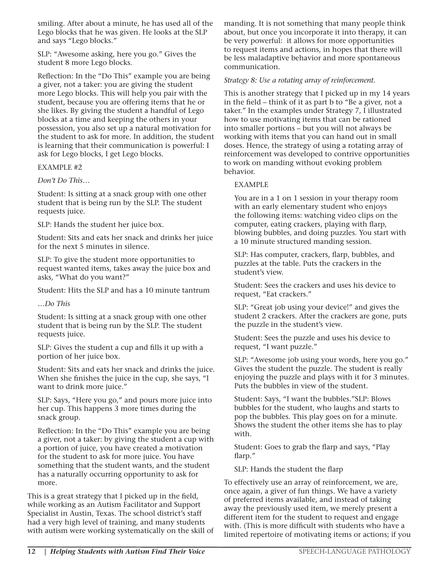smiling. After about a minute, he has used all of the Lego blocks that he was given. He looks at the SLP and says "Lego blocks."

SLP: "Awesome asking, here you go." Gives the student 8 more Lego blocks.

Reflection: In the "Do This" example you are being a giver, not a taker: you are giving the student more Lego blocks. This will help you pair with the student, because you are offering items that he or she likes. By giving the student a handful of Lego blocks at a time and keeping the others in your possession, you also set up a natural motivation for the student to ask for more. In addition, the student is learning that their communication is powerful: I ask for Lego blocks, I get Lego blocks.

EXAMPLE #2

*Don't Do This…*

Student: Is sitting at a snack group with one other student that is being run by the SLP. The student requests juice.

SLP: Hands the student her juice box.

Student: Sits and eats her snack and drinks her juice for the next 5 minutes in silence.

SLP: To give the student more opportunities to request wanted items, takes away the juice box and asks, "What do you want?"

Student: Hits the SLP and has a 10 minute tantrum

*…Do This*

Student: Is sitting at a snack group with one other student that is being run by the SLP. The student requests juice.

SLP: Gives the student a cup and fills it up with a portion of her juice box.

Student: Sits and eats her snack and drinks the juice. When she finishes the juice in the cup, she says, "I want to drink more juice."

SLP: Says, "Here you go," and pours more juice into her cup. This happens 3 more times during the snack group.

Reflection: In the "Do This" example you are being a giver, not a taker: by giving the student a cup with a portion of juice, you have created a motivation for the student to ask for more juice. You have something that the student wants, and the student has a naturally occurring opportunity to ask for more.

This is a great strategy that I picked up in the field, while working as an Autism Facilitator and Support Specialist in Austin, Texas. The school district's staff had a very high level of training, and many students with autism were working systematically on the skill of manding. It is not something that many people think about, but once you incorporate it into therapy, it can be very powerful: it allows for more opportunities to request items and actions, in hopes that there will be less maladaptive behavior and more spontaneous communication.

#### *Strategy 8: Use a rotating array of reinforcement.*

This is another strategy that I picked up in my 14 years in the field – think of it as part b to "Be a giver, not a taker." In the examples under Strategy 7, I illustrated how to use motivating items that can be rationed into smaller portions – but you will not always be working with items that you can hand out in small doses. Hence, the strategy of using a rotating array of reinforcement was developed to contrive opportunities to work on manding without evoking problem behavior.

#### EXAMPLE

You are in a 1 on 1 session in your therapy room with an early elementary student who enjoys the following items: watching video clips on the computer, eating crackers, playing with flarp, blowing bubbles, and doing puzzles. You start with a 10 minute structured manding session.

SLP: Has computer, crackers, flarp, bubbles, and puzzles at the table. Puts the crackers in the student's view.

Student: Sees the crackers and uses his device to request, "Eat crackers."

SLP: "Great job using your device!" and gives the student 2 crackers. After the crackers are gone, puts the puzzle in the student's view.

Student: Sees the puzzle and uses his device to request, "I want puzzle."

SLP: "Awesome job using your words, here you go." Gives the student the puzzle. The student is really enjoying the puzzle and plays with it for 3 minutes. Puts the bubbles in view of the student.

Student: Says, "I want the bubbles."SLP: Blows bubbles for the student, who laughs and starts to pop the bubbles. This play goes on for a minute. Shows the student the other items she has to play with.

Student: Goes to grab the flarp and says, "Play flarp."

SLP: Hands the student the flarp

To effectively use an array of reinforcement, we are, once again, a giver of fun things. We have a variety of preferred items available, and instead of taking away the previously used item, we merely present a different item for the student to request and engage with. (This is more difficult with students who have a limited repertoire of motivating items or actions; if you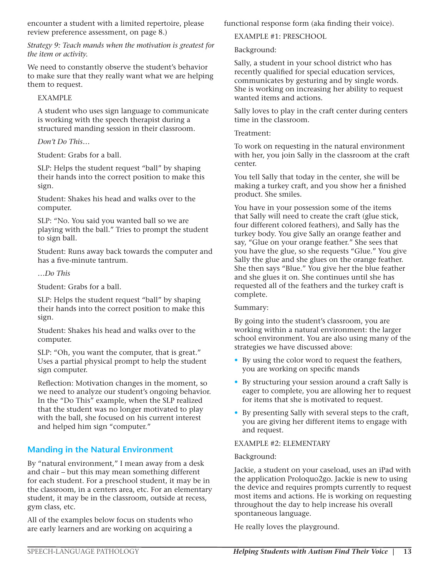encounter a student with a limited repertoire, please review preference assessment, on page 8.)

*Strategy 9: Teach mands when the motivation is greatest for the item or activity.*

We need to constantly observe the student's behavior to make sure that they really want what we are helping them to request.

#### EXAMPLE

A student who uses sign language to communicate is working with the speech therapist during a structured manding session in their classroom.

#### *Don't Do This…*

Student: Grabs for a ball.

SLP: Helps the student request "ball" by shaping their hands into the correct position to make this sign.

Student: Shakes his head and walks over to the computer.

SLP: "No. You said you wanted ball so we are playing with the ball." Tries to prompt the student to sign ball.

Student: Runs away back towards the computer and has a five-minute tantrum.

#### *…Do This*

Student: Grabs for a ball.

SLP: Helps the student request "ball" by shaping their hands into the correct position to make this sign.

Student: Shakes his head and walks over to the computer.

SLP: "Oh, you want the computer, that is great." Uses a partial physical prompt to help the student sign computer.

Reflection: Motivation changes in the moment, so we need to analyze our student's ongoing behavior. In the "Do This" example, when the SLP realized that the student was no longer motivated to play with the ball, she focused on his current interest and helped him sign "computer."

#### **Manding in the Natural Environment**

By "natural environment," I mean away from a desk and chair – but this may mean something different for each student. For a preschool student, it may be in the classroom, in a centers area, etc. For an elementary student, it may be in the classroom, outside at recess, gym class, etc.

All of the examples below focus on students who are early learners and are working on acquiring a

functional response form (aka finding their voice).

EXAMPLE #1: PRESCHOOL

Background:

Sally, a student in your school district who has recently qualified for special education services, communicates by gesturing and by single words. She is working on increasing her ability to request wanted items and actions.

Sally loves to play in the craft center during centers time in the classroom.

#### Treatment:

To work on requesting in the natural environment with her, you join Sally in the classroom at the craft center.

You tell Sally that today in the center, she will be making a turkey craft, and you show her a finished product. She smiles.

You have in your possession some of the items that Sally will need to create the craft (glue stick, four different colored feathers), and Sally has the turkey body. You give Sally an orange feather and say, "Glue on your orange feather." She sees that you have the glue, so she requests "Glue." You give Sally the glue and she glues on the orange feather. She then says "Blue." You give her the blue feather and she glues it on. She continues until she has requested all of the feathers and the turkey craft is complete.

#### Summary:

By going into the student's classroom, you are working within a natural environment: the larger school environment. You are also using many of the strategies we have discussed above:

- By using the color word to request the feathers, you are working on specific mands
- By structuring your session around a craft Sally is eager to complete, you are allowing her to request for items that she is motivated to request.
- By presenting Sally with several steps to the craft, you are giving her different items to engage with and request.

#### EXAMPLE #2: ELEMENTARY

#### Background:

Jackie, a student on your caseload, uses an iPad with the application Proloquo2go. Jackie is new to using the device and requires prompts currently to request most items and actions. He is working on requesting throughout the day to help increase his overall spontaneous language.

He really loves the playground.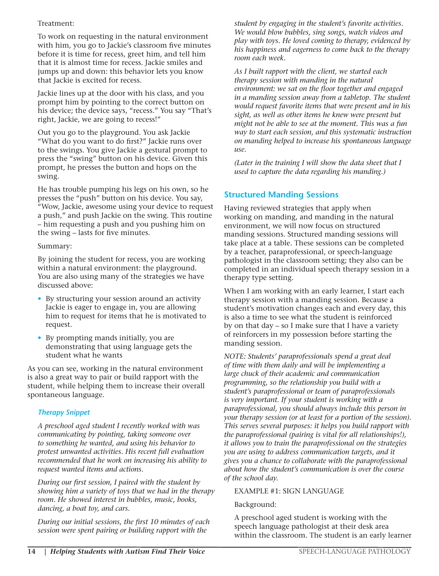#### Treatment:

To work on requesting in the natural environment with him, you go to Jackie's classroom five minutes before it is time for recess, greet him, and tell him that it is almost time for recess. Jackie smiles and jumps up and down: this behavior lets you know that Jackie is excited for recess.

Jackie lines up at the door with his class, and you prompt him by pointing to the correct button on his device; the device says, "recess." You say "That's right, Jackie, we are going to recess!"

Out you go to the playground. You ask Jackie "What do you want to do first?" Jackie runs over to the swings. You give Jackie a gestural prompt to press the "swing" button on his device. Given this prompt, he presses the button and hops on the swing.

He has trouble pumping his legs on his own, so he presses the "push" button on his device. You say, "Wow, Jackie, awesome using your device to request a push," and push Jackie on the swing. This routine – him requesting a push and you pushing him on the swing – lasts for five minutes.

#### Summary:

By joining the student for recess, you are working within a natural environment: the playground. You are also using many of the strategies we have discussed above:

- By structuring your session around an activity Jackie is eager to engage in, you are allowing him to request for items that he is motivated to request.
- By prompting mands initially, you are demonstrating that using language gets the student what he wants

As you can see, working in the natural environment is also a great way to pair or build rapport with the student, while helping them to increase their overall spontaneous language.

#### *Therapy Snippet*

*A preschool aged student I recently worked with was communicating by pointing, taking someone over to something he wanted, and using his behavior to protest unwanted activities. His recent full evaluation recommended that he work on increasing his ability to request wanted items and actions.*

*During our first session, I paired with the student by showing him a variety of toys that we had in the therapy room. He showed interest in bubbles, music, books, dancing, a boat toy, and cars.* 

*During our initial sessions, the first 10 minutes of each session were spent pairing or building rapport with the* 

*student by engaging in the student's favorite activities. We would blow bubbles, sing songs, watch videos and play with toys. He loved coming to therapy, evidenced by his happiness and eagerness to come back to the therapy room each week.* 

*As I built rapport with the client, we started each therapy session with manding in the natural environment: we sat on the floor together and engaged in a manding session away from a tabletop. The student would request favorite items that were present and in his sight, as well as other items he knew were present but might not be able to see at the moment. This was a fun way to start each session, and this systematic instruction on manding helped to increase his spontaneous language use.* 

*(Later in the training I will show the data sheet that I used to capture the data regarding his manding.)*

#### **Structured Manding Sessions**

Having reviewed strategies that apply when working on manding, and manding in the natural environment, we will now focus on structured manding sessions. Structured manding sessions will take place at a table. These sessions can be completed by a teacher, paraprofessional, or speech-language pathologist in the classroom setting; they also can be completed in an individual speech therapy session in a therapy type setting.

When I am working with an early learner, I start each therapy session with a manding session. Because a student's motivation changes each and every day, this is also a time to see what the student is reinforced by on that day – so I make sure that I have a variety of reinforcers in my possession before starting the manding session.

*NOTE: Students' paraprofessionals spend a great deal of time with them daily and will be implementing a large chuck of their academic and communication programming, so the relationship you build with a student's paraprofessional or team of paraprofessionals is very important. If your student is working with a paraprofessional, you should always include this person in your therapy session (or at least for a portion of the session). This serves several purposes: it helps you build rapport with the paraprofessional (pairing is vital for all relationships!), it allows you to train the paraprofessional on the strategies you are using to address communication targets, and it gives you a chance to collaborate with the paraprofessional about how the student's communication is over the course of the school day.*

#### EXAMPLE #1: SIGN LANGUAGE

#### Background:

A preschool aged student is working with the speech language pathologist at their desk area within the classroom. The student is an early learner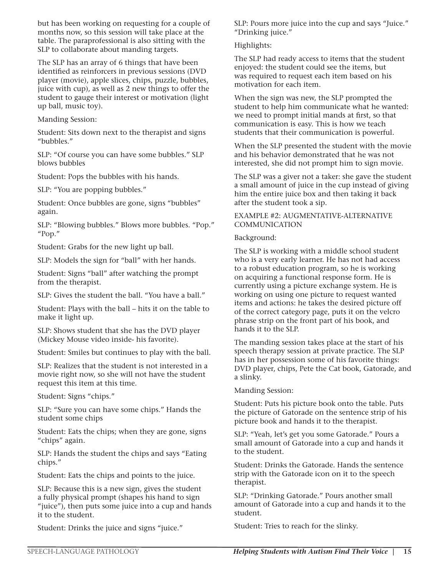but has been working on requesting for a couple of months now, so this session will take place at the table. The paraprofessional is also sitting with the SLP to collaborate about manding targets.

The SLP has an array of 6 things that have been identified as reinforcers in previous sessions (DVD player (movie), apple slices, chips, puzzle, bubbles, juice with cup), as well as 2 new things to offer the student to gauge their interest or motivation (light up ball, music toy).

#### Manding Session:

Student: Sits down next to the therapist and signs "bubbles."

SLP: "Of course you can have some bubbles." SLP blows bubbles

Student: Pops the bubbles with his hands.

SLP: "You are popping bubbles."

Student: Once bubbles are gone, signs "bubbles" again.

SLP: "Blowing bubbles." Blows more bubbles. "Pop." "Pop."

Student: Grabs for the new light up ball.

SLP: Models the sign for "ball" with her hands.

Student: Signs "ball" after watching the prompt from the therapist.

SLP: Gives the student the ball. "You have a ball."

Student: Plays with the ball – hits it on the table to make it light up.

SLP: Shows student that she has the DVD player (Mickey Mouse video inside- his favorite).

Student: Smiles but continues to play with the ball.

SLP: Realizes that the student is not interested in a movie right now, so she will not have the student request this item at this time.

Student: Signs "chips."

SLP: "Sure you can have some chips." Hands the student some chips

Student: Eats the chips; when they are gone, signs "chips" again.

SLP: Hands the student the chips and says "Eating chips."

Student: Eats the chips and points to the juice.

SLP: Because this is a new sign, gives the student a fully physical prompt (shapes his hand to sign "juice"), then puts some juice into a cup and hands it to the student.

Student: Drinks the juice and signs "juice."

SLP: Pours more juice into the cup and says "Juice." "Drinking juice."

#### Highlights:

The SLP had ready access to items that the student enjoyed: the student could see the items, but was required to request each item based on his motivation for each item.

When the sign was new, the SLP prompted the student to help him communicate what he wanted: we need to prompt initial mands at first, so that communication is easy. This is how we teach students that their communication is powerful.

When the SLP presented the student with the movie and his behavior demonstrated that he was not interested, she did not prompt him to sign movie.

The SLP was a giver not a taker: she gave the student a small amount of juice in the cup instead of giving him the entire juice box and then taking it back after the student took a sip.

#### EXAMPLE #2: AUGMENTATIVE-ALTERNATIVE COMMUNICATION

#### Background:

The SLP is working with a middle school student who is a very early learner. He has not had access to a robust education program, so he is working on acquiring a functional response form. He is currently using a picture exchange system. He is working on using one picture to request wanted items and actions: he takes the desired picture off of the correct category page, puts it on the velcro phrase strip on the front part of his book, and hands it to the SLP.

The manding session takes place at the start of his speech therapy session at private practice. The SLP has in her possession some of his favorite things: DVD player, chips, Pete the Cat book, Gatorade, and a slinky.

Manding Session:

Student: Puts his picture book onto the table. Puts the picture of Gatorade on the sentence strip of his picture book and hands it to the therapist.

SLP: "Yeah, let's get you some Gatorade." Pours a small amount of Gatorade into a cup and hands it to the student.

Student: Drinks the Gatorade. Hands the sentence strip with the Gatorade icon on it to the speech therapist.

SLP: "Drinking Gatorade." Pours another small amount of Gatorade into a cup and hands it to the student.

Student: Tries to reach for the slinky.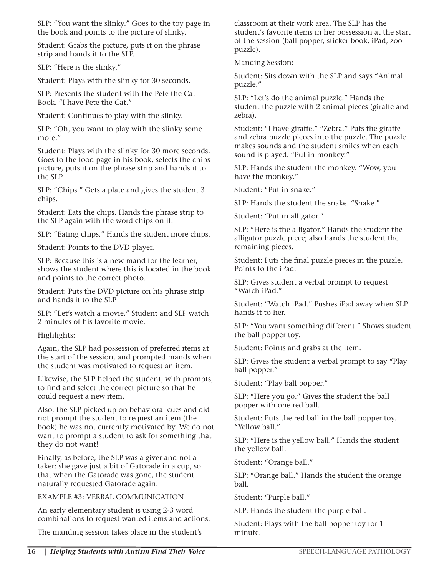SLP: "You want the slinky." Goes to the toy page in the book and points to the picture of slinky.

Student: Grabs the picture, puts it on the phrase strip and hands it to the SLP.

SLP: "Here is the slinky."

Student: Plays with the slinky for 30 seconds.

SLP: Presents the student with the Pete the Cat Book. "I have Pete the Cat."

Student: Continues to play with the slinky.

SLP: "Oh, you want to play with the slinky some more."

Student: Plays with the slinky for 30 more seconds. Goes to the food page in his book, selects the chips picture, puts it on the phrase strip and hands it to the SLP.

SLP: "Chips." Gets a plate and gives the student 3 chips.

Student: Eats the chips. Hands the phrase strip to the SLP again with the word chips on it.

SLP: "Eating chips." Hands the student more chips.

Student: Points to the DVD player.

SLP: Because this is a new mand for the learner, shows the student where this is located in the book and points to the correct photo.

Student: Puts the DVD picture on his phrase strip and hands it to the SLP

SLP: "Let's watch a movie." Student and SLP watch 2 minutes of his favorite movie.

Highlights:

Again, the SLP had possession of preferred items at the start of the session, and prompted mands when the student was motivated to request an item.

Likewise, the SLP helped the student, with prompts, to find and select the correct picture so that he could request a new item.

Also, the SLP picked up on behavioral cues and did not prompt the student to request an item (the book) he was not currently motivated by. We do not want to prompt a student to ask for something that they do not want!

Finally, as before, the SLP was a giver and not a taker: she gave just a bit of Gatorade in a cup, so that when the Gatorade was gone, the student naturally requested Gatorade again.

EXAMPLE #3: VERBAL COMMUNICATION

An early elementary student is using 2-3 word combinations to request wanted items and actions.

The manding session takes place in the student's

classroom at their work area. The SLP has the student's favorite items in her possession at the start of the session (ball popper, sticker book, iPad, zoo puzzle).

Manding Session:

Student: Sits down with the SLP and says "Animal puzzle."

SLP: "Let's do the animal puzzle." Hands the student the puzzle with 2 animal pieces (giraffe and zebra).

Student: "I have giraffe." "Zebra." Puts the giraffe and zebra puzzle pieces into the puzzle. The puzzle makes sounds and the student smiles when each sound is played. "Put in monkey."

SLP: Hands the student the monkey. "Wow, you have the monkey."

Student: "Put in snake."

SLP: Hands the student the snake. "Snake."

Student: "Put in alligator."

SLP: "Here is the alligator." Hands the student the alligator puzzle piece; also hands the student the remaining pieces.

Student: Puts the final puzzle pieces in the puzzle. Points to the iPad.

SLP: Gives student a verbal prompt to request "Watch iPad."

Student: "Watch iPad." Pushes iPad away when SLP hands it to her.

SLP: "You want something different." Shows student the ball popper toy.

Student: Points and grabs at the item.

SLP: Gives the student a verbal prompt to say "Play ball popper."

Student: "Play ball popper."

SLP: "Here you go." Gives the student the ball popper with one red ball.

Student: Puts the red ball in the ball popper toy. "Yellow ball."

SLP: "Here is the yellow ball." Hands the student the yellow ball.

Student: "Orange ball."

SLP: "Orange ball." Hands the student the orange ball.

Student: "Purple ball."

SLP: Hands the student the purple ball.

Student: Plays with the ball popper toy for 1 minute.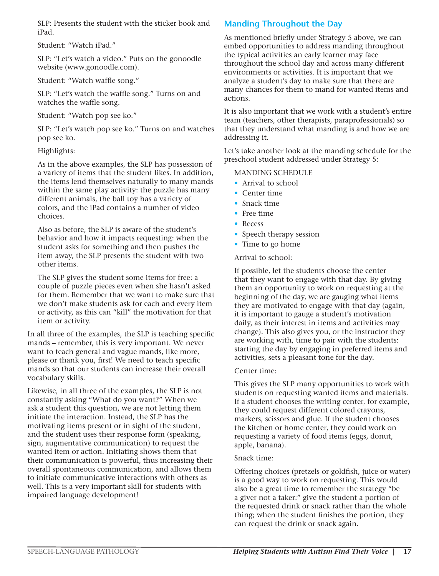SLP: Presents the student with the sticker book and iPad.

Student: "Watch iPad."

SLP: "Let's watch a video." Puts on the gonoodle website (www.gonoodle.com).

Student: "Watch waffle song."

SLP: "Let's watch the waffle song." Turns on and watches the waffle song.

Student: "Watch pop see ko."

SLP: "Let's watch pop see ko." Turns on and watches pop see ko.

#### Highlights:

As in the above examples, the SLP has possession of a variety of items that the student likes. In addition, the items lend themselves naturally to many mands within the same play activity: the puzzle has many different animals, the ball toy has a variety of colors, and the iPad contains a number of video choices.

Also as before, the SLP is aware of the student's behavior and how it impacts requesting: when the student asks for something and then pushes the item away, the SLP presents the student with two other items.

The SLP gives the student some items for free: a couple of puzzle pieces even when she hasn't asked for them. Remember that we want to make sure that we don't make students ask for each and every item or activity, as this can "kill" the motivation for that item or activity.

In all three of the examples, the SLP is teaching specific mands – remember, this is very important. We never want to teach general and vague mands, like more, please or thank you, first! We need to teach specific mands so that our students can increase their overall vocabulary skills.

Likewise, in all three of the examples, the SLP is not constantly asking "What do you want?" When we ask a student this question, we are not letting them initiate the interaction. Instead, the SLP has the motivating items present or in sight of the student, and the student uses their response form (speaking, sign, augmentative communication) to request the wanted item or action. Initiating shows them that their communication is powerful, thus increasing their overall spontaneous communication, and allows them to initiate communicative interactions with others as well. This is a very important skill for students with impaired language development!

#### **Manding Throughout the Day**

As mentioned briefly under Strategy 5 above, we can embed opportunities to address manding throughout the typical activities an early learner may face throughout the school day and across many different environments or activities. It is important that we analyze a student's day to make sure that there are many chances for them to mand for wanted items and actions.

It is also important that we work with a student's entire team (teachers, other therapists, paraprofessionals) so that they understand what manding is and how we are addressing it.

Let's take another look at the manding schedule for the preschool student addressed under Strategy 5:

#### MANDING SCHEDULE

- Arrival to school
- Center time
- Snack time
- Free time
- Recess
- Speech therapy session
- Time to go home

Arrival to school:

If possible, let the students choose the center that they want to engage with that day. By giving them an opportunity to work on requesting at the beginning of the day, we are gauging what items they are motivated to engage with that day (again, it is important to gauge a student's motivation daily, as their interest in items and activities may change). This also gives you, or the instructor they are working with, time to pair with the students: starting the day by engaging in preferred items and activities, sets a pleasant tone for the day.

#### Center time:

This gives the SLP many opportunities to work with students on requesting wanted items and materials. If a student chooses the writing center, for example, they could request different colored crayons, markers, scissors and glue. If the student chooses the kitchen or home center, they could work on requesting a variety of food items (eggs, donut, apple, banana).

#### Snack time:

Offering choices (pretzels or goldfish, juice or water) is a good way to work on requesting. This would also be a great time to remember the strategy "be a giver not a taker:" give the student a portion of the requested drink or snack rather than the whole thing; when the student finishes the portion, they can request the drink or snack again.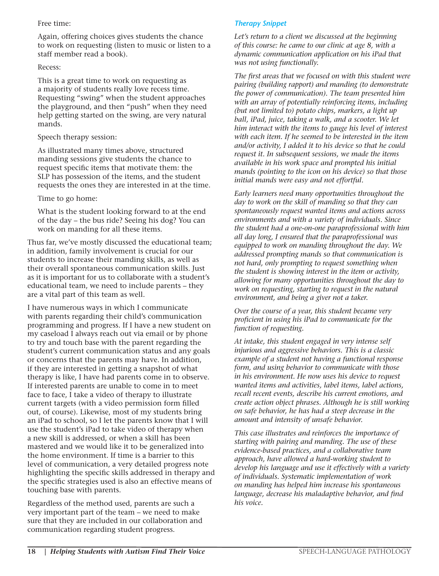#### Free time:

Again, offering choices gives students the chance to work on requesting (listen to music or listen to a staff member read a book).

#### Recess:

This is a great time to work on requesting as a majority of students really love recess time. Requesting "swing" when the student approaches the playground, and then "push" when they need help getting started on the swing, are very natural mands.

#### Speech therapy session:

As illustrated many times above, structured manding sessions give students the chance to request specific items that motivate them: the SLP has possession of the items, and the student requests the ones they are interested in at the time.

#### Time to go home:

What is the student looking forward to at the end of the day – the bus ride? Seeing his dog? You can work on manding for all these items.

Thus far, we've mostly discussed the educational team; in addition, family involvement is crucial for our students to increase their manding skills, as well as their overall spontaneous communication skills. Just as it is important for us to collaborate with a student's educational team, we need to include parents – they are a vital part of this team as well.

I have numerous ways in which I communicate with parents regarding their child's communication programming and progress. If I have a new student on my caseload I always reach out via email or by phone to try and touch base with the parent regarding the student's current communication status and any goals or concerns that the parents may have. In addition, if they are interested in getting a snapshot of what therapy is like, I have had parents come in to observe. If interested parents are unable to come in to meet face to face, I take a video of therapy to illustrate current targets (with a video permission form filled out, of course). Likewise, most of my students bring an iPad to school, so I let the parents know that I will use the student's iPad to take video of therapy when a new skill is addressed, or when a skill has been mastered and we would like it to be generalized into the home environment. If time is a barrier to this level of communication, a very detailed progress note highlighting the specific skills addressed in therapy and the specific strategies used is also an effective means of touching base with parents.

Regardless of the method used, parents are such a very important part of the team – we need to make sure that they are included in our collaboration and communication regarding student progress.

#### *Therapy Snippet*

*Let's return to a client we discussed at the beginning of this course: he came to our clinic at age 8, with a dynamic communication application on his iPad that was not using functionally.* 

*The first areas that we focused on with this student were pairing (building rapport) and manding (to demonstrate the power of communication). The team presented him with an array of potentially reinforcing items, including (but not limited to) potato chips, markers, a light up ball, iPad, juice, taking a walk, and a scooter. We let him interact with the items to gauge his level of interest with each item. If he seemed to be interested in the item and/or activity, I added it to his device so that he could request it. In subsequent sessions, we made the items available in his work space and prompted his initial mands (pointing to the icon on his device) so that those initial mands were easy and not effortful.*

*Early learners need many opportunities throughout the day to work on the skill of manding so that they can spontaneously request wanted items and actions across environments and with a variety of individuals. Since the student had a one-on-one paraprofessional with him all day long, I ensured that the paraprofessional was equipped to work on manding throughout the day. We addressed prompting mands so that communication is not hard, only prompting to request something when the student is showing interest in the item or activity, allowing for many opportunities throughout the day to work on requesting, starting to request in the natural environment, and being a giver not a taker.* 

*Over the course of a year, this student became very proficient in using his iPad to communicate for the function of requesting.* 

*At intake, this student engaged in very intense self injurious and aggressive behaviors. This is a classic example of a student not having a functional response form, and using behavior to communicate with those in his environment. He now uses his device to request wanted items and activities, label items, label actions, recall recent events, describe his current emotions, and create action object phrases. Although he is still working on safe behavior, he has had a steep decrease in the amount and intensity of unsafe behavior.* 

*This case illustrates and reinforces the importance of starting with pairing and manding. The use of these evidence-based practices, and a collaborative team approach, have allowed a hard-working student to develop his language and use it effectively with a variety of individuals. Systematic implementation of work on manding has helped him increase his spontaneous language, decrease his maladaptive behavior, and find his voice.*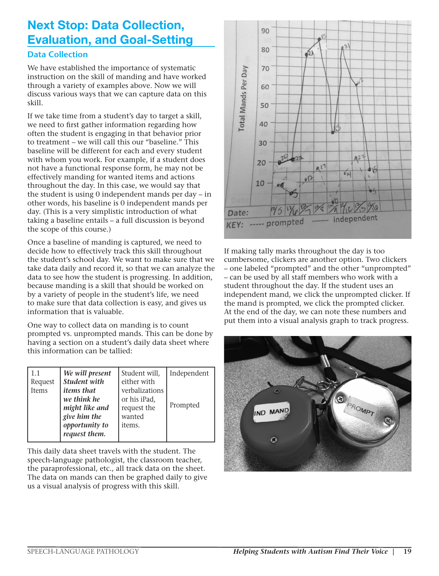# Next Stop: Data Collection, Evaluation, and Goal-Setting

#### **Data Collection**

We have established the importance of systematic instruction on the skill of manding and have worked through a variety of examples above. Now we will discuss various ways that we can capture data on this skill.

If we take time from a student's day to target a skill, we need to first gather information regarding how often the student is engaging in that behavior prior to treatment – we will call this our "baseline." This baseline will be different for each and every student with whom you work. For example, if a student does not have a functional response form, he may not be effectively manding for wanted items and actions throughout the day. In this case, we would say that the student is using 0 independent mands per day – in other words, his baseline is 0 independent mands per day. (This is a very simplistic introduction of what taking a baseline entails – a full discussion is beyond the scope of this course.)

Once a baseline of manding is captured, we need to decide how to effectively track this skill throughout the student's school day. We want to make sure that we take data daily and record it, so that we can analyze the data to see how the student is progressing. In addition, because manding is a skill that should be worked on by a variety of people in the student's life, we need to make sure that data collection is easy, and gives us information that is valuable.

One way to collect data on manding is to count prompted vs. unprompted mands. This can be done by having a section on a student's daily data sheet where this information can be tallied:

| 1.1<br>Request<br><b>Items</b> | We will present<br><b>Student with</b><br><i>items that</i><br>we think he<br>might like and<br>give him the<br>opportunity to<br>request them. | Student will,<br>either with<br>verbalizations<br>or his iPad,<br>request the<br>wanted<br>items. | Independent<br>Prompted |
|--------------------------------|-------------------------------------------------------------------------------------------------------------------------------------------------|---------------------------------------------------------------------------------------------------|-------------------------|
|--------------------------------|-------------------------------------------------------------------------------------------------------------------------------------------------|---------------------------------------------------------------------------------------------------|-------------------------|

This daily data sheet travels with the student. The speech-language pathologist, the classroom teacher, the paraprofessional, etc., all track data on the sheet. The data on mands can then be graphed daily to give us a visual analysis of progress with this skill.



If making tally marks throughout the day is too cumbersome, clickers are another option. Two clickers – one labeled "prompted" and the other "unprompted" – can be used by all staff members who work with a student throughout the day. If the student uses an independent mand, we click the unprompted clicker. If the mand is prompted, we click the prompted clicker. At the end of the day, we can note these numbers and put them into a visual analysis graph to track progress.

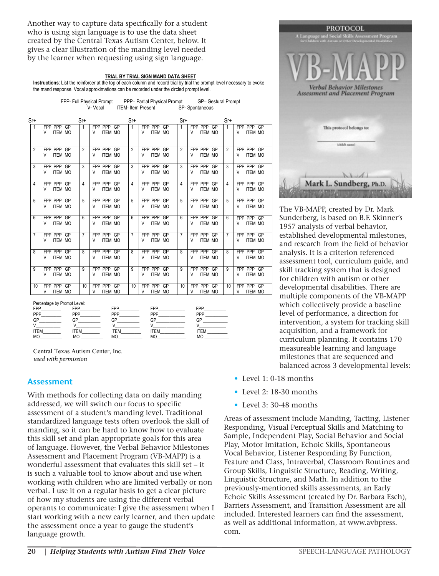Another way to capture data specifically for a student who is using sign language is to use the data sheet created by the Central Texas Autism Center, below. It gives a clear illustration of the manding level needed by the learner when requesting using sign language.

#### <u>TRIAL BY TRIAL SIGN MAND DATA SHEET</u>

Instructions: List the reinforcer at the top of each column and record trial by trial the prompt level necessary to evoke the mand response. Vocal approximations can be recorded under the circled prompt level.

| FPP- Full Physical Prompt | PPP- Partial Physical Prompt | GP- Gestural Prompt |
|---------------------------|------------------------------|---------------------|
| V- Vocal                  | ITEM- Item Present           | SP-Spontaneous      |

| Sr+            |                                   | Sr+            |                                   | Sr+            |                                   | $Sr+$           |                                      | Sr+                                                  |  |
|----------------|-----------------------------------|----------------|-----------------------------------|----------------|-----------------------------------|-----------------|--------------------------------------|------------------------------------------------------|--|
| 1              | FPP PPP GP<br><b>ITEM MO</b><br>V | 1              | FPP PPP GP<br><b>ITEM MO</b><br>V | 1              | FPP PPP GP<br>V<br><b>ITEM MO</b> | $\mathbf{1}$    | FPP PPP GP<br>V<br><b>ITEM MO</b>    | FPP PPP GP<br>$\mathbf{1}$<br><b>ITEM MO</b><br>V    |  |
| $\overline{2}$ | FPP PPP GP<br><b>ITEM MO</b><br>V | $\overline{2}$ | FPP PPP GP<br><b>ITEM MO</b><br>V | $\overline{2}$ | FPP PPP GP<br><b>ITEM MO</b><br>V | $\overline{2}$  | FPP PPP GP<br><b>ITEM MO</b><br>V    | FPP PPP GP<br>$\overline{2}$<br><b>ITEM MO</b><br>V  |  |
| 3              | FPP PPP GP<br><b>ITEM MO</b><br>V | 3              | FPP PPP GP<br><b>ITEM MO</b><br>V | 3              | FPP PPP GP<br><b>ITEM MO</b><br>V | 3               | FPP PPP GP<br><b>ITEM MO</b><br>V    | 3<br>FPP PPP GP<br><b>ITEM MO</b><br>V               |  |
| 4              | FPP PPP GP<br><b>ITEM MO</b><br>V | 4              | FPP PPP GP<br><b>ITEM MO</b><br>V | 4              | FPP PPP GP<br><b>ITEM MO</b><br>V | 4               | FPP PPP GP<br><b>ITEM MO</b><br>V    | FPP PPP GP<br>4<br><b>ITEM MO</b><br>V               |  |
| 5              | FPP PPP GP<br><b>ITEM MO</b><br>V | 5              | FPP PPP GP<br><b>ITEM MO</b><br>V | 5              | FPP PPP GP<br>V<br><b>ITEM MO</b> | 5               | FPP PPP GP<br><b>ITEM MO</b><br>V    | FPP PPP GP<br>5<br><b>ITEM MO</b><br>V               |  |
| 6              | FPP PPP GP<br><b>ITEM MO</b><br>V | 6              | FPP PPP GP<br><b>ITEM MO</b><br>v | $6 \,$         | FPP PPP GP<br><b>ITEM MO</b><br>V | $6\overline{6}$ | FPP PPP GP<br><b>ITEM MO</b><br>V    | FPP PPP GP<br>$6\overline{6}$<br><b>ITEM MO</b><br>V |  |
| $\overline{7}$ | FPP PPP GP<br><b>ITEM MO</b><br>V | $\overline{7}$ | FPP PPP GP<br><b>ITEM MO</b><br>V | $\overline{7}$ | FPP PPP GP<br><b>ITEM MO</b><br>V | $\overline{7}$  | FPP PPP GP<br><b>ITEM MO</b><br>V    | FPP PPP GP<br>$\overline{7}$<br><b>ITEM MO</b><br>V  |  |
| 8              | FPP PPP GP<br><b>ITEM MO</b><br>V | 8              | FPP PPP GP<br><b>ITEM MO</b><br>V | 8              | FPP PPP GP<br><b>ITEM MO</b><br>V | 8               | FPP PPP GP<br><b>ITEM MO</b><br>V    | FPP PPP GP<br>8<br><b>ITEM MO</b><br>V               |  |
| 9              | FPP PPP GP<br><b>ITEM MO</b><br>V | 9              | FPP PPP GP<br><b>ITEM MO</b><br>V | 9              | FPP PPP GP<br><b>ITEM MO</b><br>V | 9               | FPP PPP GP<br><b>ITEM MO</b><br>V    | FPP PPP GP<br>9<br><b>ITEM MO</b><br>V               |  |
| 10             | FPP PPP GP<br><b>ITEM MO</b><br>V | 10             | FPP PPP GP<br><b>ITEM MO</b><br>V | 10             | FPP PPP GP<br><b>ITEM MO</b><br>V | 10              | FPP PPP<br>GP<br><b>ITEM MO</b><br>V | FPP PPP GP<br>10<br><b>ITEM MO</b><br>V              |  |

Percentage by Prompt Level:

| <b>FPP</b>  | <b>FPP</b> | FPP         | FPP       | FPP        |
|-------------|------------|-------------|-----------|------------|
| PPP         | PPP        | PPP         | PPP       | PPP        |
| GP          | GP         | GP          | GP        | GΡ         |
|             |            |             |           |            |
| <b>ITEM</b> | <b>TEM</b> | <b>ITEM</b> | 'TEM      | <b>TEM</b> |
| <b>MO</b>   | MO         | MO          | <b>MO</b> | МC         |

Central Texas Autism Center, Inc. *used with permission*

#### **Assessment**

this skill set and plan appropriate goals for this area *used with permission* of language. However, the Verbal Behavior Milestones With methods for collecting data on daily manding addressed, we will switch our focus to specific assessment of a student's manding level. Traditional standardized language tests often overlook the skill of manding, so it can be hard to know how to evaluate Assessment and Placement Program (VB-MAPP) is a wonderful assessment that evaluates this skill set – it is such a valuable tool to know about and use when working with children who are limited verbally or non verbal. I use it on a regular basis to get a clear picture of how my students are using the different verbal operants to communicate: I give the assessment when I start working with a new early learner, and then update the assessment once a year to gauge the student's language growth.



The VB-MAPP, created by Dr. Mark Sunderberg, is based on B.F. Skinner's 1957 analysis of verbal behavior, established developmental milestones, and research from the field of behavior analysis. It is a criterion referenced assessment tool, curriculum guide, and skill tracking system that is designed for children with autism or other developmental disabilities. There are multiple components of the VB-MAPP which collectively provide a baseline level of performance, a direction for intervention, a system for tracking skill acquisition, and a framework for curriculum planning. It contains 170 measureable learning and language milestones that are sequenced and balanced across 3 developmental levels:

- Level 1: 0-18 months
- Level 2: 18-30 months
- Level 3: 30-48 months

Areas of assessment include Manding, Tacting, Listener Responding, Visual Perceptual Skills and Matching to Sample, Independent Play, Social Behavior and Social Play, Motor Imitation, Echoic Skills, Spontaneous Vocal Behavior, Listener Responding By Function, Feature and Class, Intraverbal, Classroom Routines and Group Skills, Linguistic Structure, Reading, Writing, Linguistic Structure, and Math. In addition to the previously-mentioned skills assessments, an Early Echoic Skills Assessment (created by Dr. Barbara Esch), Barriers Assessment, and Transition Assessment are all included. Interested learners can find the assessment, as well as additional information, at www.avbpress. com.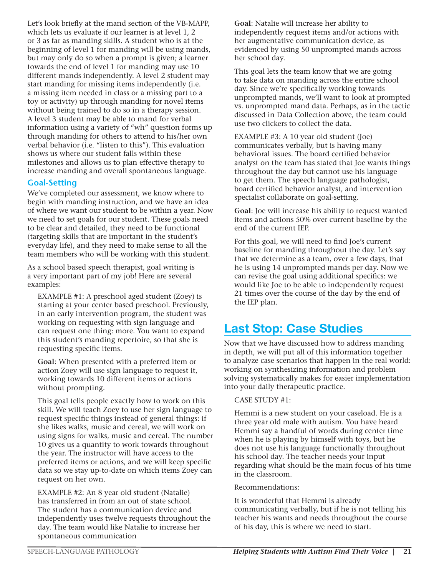Let's look briefly at the mand section of the VB-MAPP, which lets us evaluate if our learner is at level 1, 2 or 3 as far as manding skills. A student who is at the beginning of level 1 for manding will be using mands, but may only do so when a prompt is given; a learner towards the end of level 1 for manding may use 10 different mands independently. A level 2 student may start manding for missing items independently (i.e. a missing item needed in class or a missing part to a toy or activity) up through manding for novel items without being trained to do so in a therapy session. A level 3 student may be able to mand for verbal information using a variety of "wh" question forms up through manding for others to attend to his/her own verbal behavior (i.e. "listen to this"). This evaluation shows us where our student falls within these milestones and allows us to plan effective therapy to increase manding and overall spontaneous language.

#### **Goal-Setting**

We've completed our assessment, we know where to begin with manding instruction, and we have an idea of where we want our student to be within a year. Now we need to set goals for our student. These goals need to be clear and detailed, they need to be functional (targeting skills that are important in the student's everyday life), and they need to make sense to all the team members who will be working with this student.

As a school based speech therapist, goal writing is a very important part of my job! Here are several examples:

EXAMPLE #1: A preschool aged student (Zoey) is starting at your center based preschool. Previously, in an early intervention program, the student was working on requesting with sign language and can request one thing: more. You want to expand this student's manding repertoire, so that she is requesting specific items.

**Goal**: When presented with a preferred item or action Zoey will use sign language to request it, working towards 10 different items or actions without prompting.

This goal tells people exactly how to work on this skill. We will teach Zoey to use her sign language to request specific things instead of general things: if she likes walks, music and cereal, we will work on using signs for walks, music and cereal. The number 10 gives us a quantity to work towards throughout the year. The instructor will have access to the preferred items or actions, and we will keep specific data so we stay up-to-date on which items Zoey can request on her own.

EXAMPLE #2: An 8 year old student (Natalie) has transferred in from an out of state school. The student has a communication device and independently uses twelve requests throughout the day. The team would like Natalie to increase her spontaneous communication

**Goal**: Natalie will increase her ability to independently request items and/or actions with her augmentative communication device, as evidenced by using 50 unprompted mands across her school day.

This goal lets the team know that we are going to take data on manding across the entire school day. Since we're specifically working towards unprompted mands, we'll want to look at prompted vs. unprompted mand data. Perhaps, as in the tactic discussed in Data Collection above, the team could use two clickers to collect the data.

EXAMPLE #3: A 10 year old student (Joe) communicates verbally, but is having many behavioral issues. The board certified behavior analyst on the team has stated that Joe wants things throughout the day but cannot use his language to get them. The speech language pathologist, board certified behavior analyst, and intervention specialist collaborate on goal-setting.

**Goal**: Joe will increase his ability to request wanted items and actions 50% over current baseline by the end of the current IEP.

For this goal, we will need to find Joe's current baseline for manding throughout the day. Let's say that we determine as a team, over a few days, that he is using 14 unprompted mands per day. Now we can revise the goal using additional specifics: we would like Joe to be able to independently request 21 times over the course of the day by the end of the IEP plan.

# Last Stop: Case Studies

Now that we have discussed how to address manding in depth, we will put all of this information together to analyze case scenarios that happen in the real world: working on synthesizing information and problem solving systematically makes for easier implementation into your daily therapeutic practice.

#### CASE STUDY #1:

Hemmi is a new student on your caseload. He is a three year old male with autism. You have heard Hemmi say a handful of words during center time when he is playing by himself with toys, but he does not use his language functionally throughout his school day. The teacher needs your input regarding what should be the main focus of his time in the classroom.

Recommendations:

It is wonderful that Hemmi is already communicating verbally, but if he is not telling his teacher his wants and needs throughout the course of his day, this is where we need to start.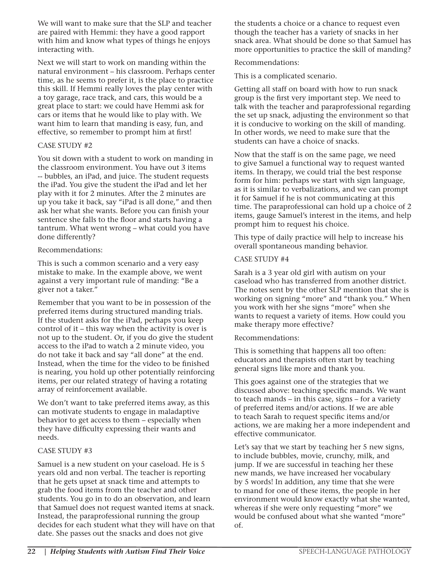We will want to make sure that the SLP and teacher are paired with Hemmi: they have a good rapport with him and know what types of things he enjoys interacting with.

Next we will start to work on manding within the natural environment – his classroom. Perhaps center time, as he seems to prefer it, is the place to practice this skill. If Hemmi really loves the play center with a toy garage, race track, and cars, this would be a great place to start: we could have Hemmi ask for cars or items that he would like to play with. We want him to learn that manding is easy, fun, and effective, so remember to prompt him at first!

#### CASE STUDY #2

You sit down with a student to work on manding in the classroom environment. You have out 3 items -- bubbles, an iPad, and juice. The student requests the iPad. You give the student the iPad and let her play with it for 2 minutes. After the 2 minutes are up you take it back, say "iPad is all done," and then ask her what she wants. Before you can finish your sentence she falls to the floor and starts having a tantrum. What went wrong – what could you have done differently?

#### Recommendations:

This is such a common scenario and a very easy mistake to make. In the example above, we went against a very important rule of manding: "Be a giver not a taker."

Remember that you want to be in possession of the preferred items during structured manding trials. If the student asks for the iPad, perhaps you keep control of it – this way when the activity is over is not up to the student. Or, if you do give the student access to the iPad to watch a 2 minute video, you do not take it back and say "all done" at the end. Instead, when the time for the video to be finished is nearing, you hold up other potentially reinforcing items, per our related strategy of having a rotating array of reinforcement available.

We don't want to take preferred items away, as this can motivate students to engage in maladaptive behavior to get access to them – especially when they have difficulty expressing their wants and needs.

#### CASE STUDY #3

Samuel is a new student on your caseload. He is 5 years old and non verbal. The teacher is reporting that he gets upset at snack time and attempts to grab the food items from the teacher and other students. You go in to do an observation, and learn that Samuel does not request wanted items at snack. Instead, the paraprofessional running the group decides for each student what they will have on that date. She passes out the snacks and does not give

the students a choice or a chance to request even though the teacher has a variety of snacks in her snack area. What should be done so that Samuel has more opportunities to practice the skill of manding?

#### Recommendations:

This is a complicated scenario.

Getting all staff on board with how to run snack group is the first very important step. We need to talk with the teacher and paraprofessional regarding the set up snack, adjusting the environment so that it is conducive to working on the skill of manding. In other words, we need to make sure that the students can have a choice of snacks.

Now that the staff is on the same page, we need to give Samuel a functional way to request wanted items. In therapy, we could trial the best response form for him: perhaps we start with sign language, as it is similar to verbalizations, and we can prompt it for Samuel if he is not communicating at this time. The paraprofessional can hold up a choice of 2 items, gauge Samuel's interest in the items, and help prompt him to request his choice.

This type of daily practice will help to increase his overall spontaneous manding behavior.

#### CASE STUDY #4

Sarah is a 3 year old girl with autism on your caseload who has transferred from another district. The notes sent by the other SLP mention that she is working on signing "more" and "thank you." When you work with her she signs "more" when she wants to request a variety of items. How could you make therapy more effective?

#### Recommendations:

This is something that happens all too often: educators and therapists often start by teaching general signs like more and thank you.

This goes against one of the strategies that we discussed above: teaching specific mands. We want to teach mands – in this case, signs – for a variety of preferred items and/or actions. If we are able to teach Sarah to request specific items and/or actions, we are making her a more independent and effective communicator.

Let's say that we start by teaching her 5 new signs, to include bubbles, movie, crunchy, milk, and jump. If we are successful in teaching her these new mands, we have increased her vocabulary by 5 words! In addition, any time that she were to mand for one of these items, the people in her environment would know exactly what she wanted, whereas if she were only requesting "more" we would be confused about what she wanted "more" of.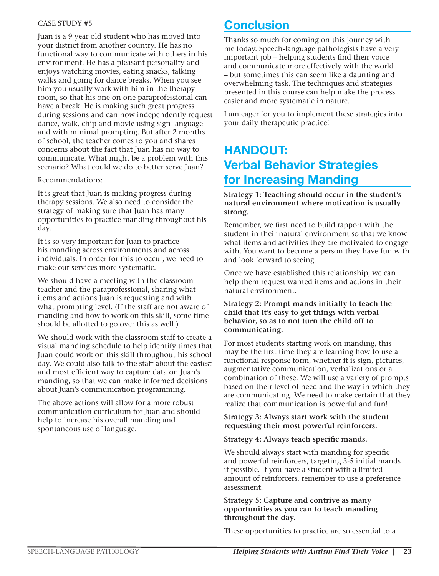#### CASE STUDY #5

Juan is a 9 year old student who has moved into your district from another country. He has no functional way to communicate with others in his environment. He has a pleasant personality and enjoys watching movies, eating snacks, talking walks and going for dance breaks. When you see him you usually work with him in the therapy room, so that his one on one paraprofessional can have a break. He is making such great progress during sessions and can now independently request dance, walk, chip and movie using sign language and with minimal prompting. But after 2 months of school, the teacher comes to you and shares concerns about the fact that Juan has no way to communicate. What might be a problem with this scenario? What could we do to better serve Juan?

Recommendations:

It is great that Juan is making progress during therapy sessions. We also need to consider the strategy of making sure that Juan has many opportunities to practice manding throughout his day.

It is so very important for Juan to practice his manding across environments and across individuals. In order for this to occur, we need to make our services more systematic.

We should have a meeting with the classroom teacher and the paraprofessional, sharing what items and actions Juan is requesting and with what prompting level. (If the staff are not aware of manding and how to work on this skill, some time should be allotted to go over this as well.)

We should work with the classroom staff to create a visual manding schedule to help identify times that Juan could work on this skill throughout his school day. We could also talk to the staff about the easiest and most efficient way to capture data on Juan's manding, so that we can make informed decisions about Juan's communication programming.

The above actions will allow for a more robust communication curriculum for Juan and should help to increase his overall manding and spontaneous use of language.

# **Conclusion**

Thanks so much for coming on this journey with me today. Speech-language pathologists have a very important job – helping students find their voice and communicate more effectively with the world – but sometimes this can seem like a daunting and overwhelming task. The techniques and strategies presented in this course can help make the process easier and more systematic in nature.

I am eager for you to implement these strategies into your daily therapeutic practice!

# HANDOUT: Verbal Behavior Strategies for Increasing Manding

**Strategy 1: Teaching should occur in the student's natural environment where motivation is usually strong.** 

Remember, we first need to build rapport with the student in their natural environment so that we know what items and activities they are motivated to engage with. You want to become a person they have fun with and look forward to seeing.

Once we have established this relationship, we can help them request wanted items and actions in their natural environment.

#### **Strategy 2: Prompt mands initially to teach the child that it's easy to get things with verbal behavior, so as to not turn the child off to communicating.**

For most students starting work on manding, this may be the first time they are learning how to use a functional response form, whether it is sign, pictures, augmentative communication, verbalizations or a combination of these. We will use a variety of prompts based on their level of need and the way in which they are communicating. We need to make certain that they realize that communication is powerful and fun!

#### **Strategy 3: Always start work with the student requesting their most powerful reinforcers.**

#### **Strategy 4: Always teach specific mands.**

We should always start with manding for specific and powerful reinforcers, targeting 3-5 initial mands if possible. If you have a student with a limited amount of reinforcers, remember to use a preference assessment.

#### **Strategy 5: Capture and contrive as many opportunities as you can to teach manding throughout the day.**

These opportunities to practice are so essential to a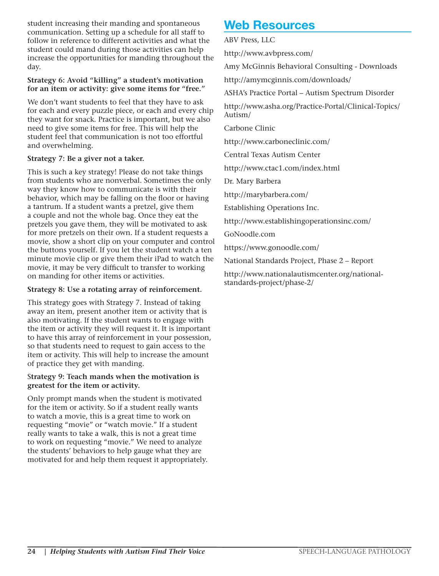student increasing their manding and spontaneous communication. Setting up a schedule for all staff to follow in reference to different activities and what the student could mand during those activities can help increase the opportunities for manding throughout the day.

#### **Strategy 6: Avoid "killing" a student's motivation for an item or activity: give some items for "free."**

We don't want students to feel that they have to ask for each and every puzzle piece, or each and every chip they want for snack. Practice is important, but we also need to give some items for free. This will help the student feel that communication is not too effortful and overwhelming.

#### **Strategy 7: Be a giver not a taker.**

This is such a key strategy! Please do not take things from students who are nonverbal. Sometimes the only way they know how to communicate is with their behavior, which may be falling on the floor or having a tantrum. If a student wants a pretzel, give them a couple and not the whole bag. Once they eat the pretzels you gave them, they will be motivated to ask for more pretzels on their own. If a student requests a movie, show a short clip on your computer and control the buttons yourself. If you let the student watch a ten minute movie clip or give them their iPad to watch the movie, it may be very difficult to transfer to working on manding for other items or activities.

#### **Strategy 8: Use a rotating array of reinforcement.**

This strategy goes with Strategy 7. Instead of taking away an item, present another item or activity that is also motivating. If the student wants to engage with the item or activity they will request it. It is important to have this array of reinforcement in your possession, so that students need to request to gain access to the item or activity. This will help to increase the amount of practice they get with manding.

#### S**trategy 9: Teach mands when the motivation is greatest for the item or activity.**

Only prompt mands when the student is motivated for the item or activity. So if a student really wants to watch a movie, this is a great time to work on requesting "movie" or "watch movie." If a student really wants to take a walk, this is not a great time to work on requesting "movie." We need to analyze the students' behaviors to help gauge what they are motivated for and help them request it appropriately.

# Web Resources

ABV Press, LLC

http://www.avbpress.com/

Amy McGinnis Behavioral Consulting - Downloads

http://amymcginnis.com/downloads/

ASHA's Practice Portal – Autism Spectrum Disorder

http://www.asha.org/Practice-Portal/Clinical-Topics/ Autism/

Carbone Clinic

http://www.carboneclinic.com/

Central Texas Autism Center

http://www.ctac1.com/index.html

Dr. Mary Barbera

http://marybarbera.com/

Establishing Operations Inc.

http://www.establishingoperationsinc.com/

GoNoodle.com

https://www.gonoodle.com/

National Standards Project, Phase 2 – Report

http://www.nationalautismcenter.org/nationalstandards-project/phase-2/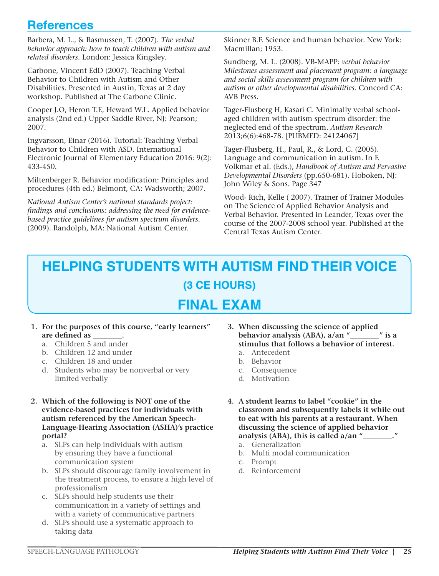# **References**

Barbera, M. L., & Rasmussen, T. (2007). *The verbal behavior approach: how to teach children with autism and related disorders*. London: Jessica Kingsley.

Carbone, Vincent EdD (2007). Teaching Verbal Behavior to Children with Autism and Other Disabilities. Presented in Austin, Texas at 2 day workshop. Published at The Carbone Clinic.

Cooper J.O, Heron T.E, Heward W.L. Applied behavior analysis (2nd ed.) Upper Saddle River, NJ: Pearson; 2007.

Ingvarsson, Einar (2016). Tutorial: Teaching Verbal Behavior to Children with ASD. International Electronic Journal of Elementary Education 2016: 9(2): 433-450.

Miltenberger R. Behavior modification: Principles and procedures (4th ed.) Belmont, CA: Wadsworth; 2007.

*National Autism Center's national standards project: findings and conclusions: addressing the need for evidencebased practice guidelines for autism spectrum disorders.*  (2009). Randolph, MA: National Autism Center.

Skinner B.F. Science and human behavior. New York: Macmillan; 1953.

Sundberg, M. L. (2008). VB-MAPP: *verbal behavior Milestones assessment and placement program: a language and social skills assessment program for children with autism or other developmental disabilities.* Concord CA: AVB Press.

Tager-Flusberg H, Kasari C. Minimally verbal schoolaged children with autism spectrum disorder: the neglected end of the spectrum. *Autism Research*  2013;6(6):468-78. [PUBMED: 24124067]

Tager-Flusberg, H., Paul, R., & Lord, C. (2005). Language and communication in autism. In F. Volkmar et al. (Eds.), *Handbook of Autism and Pervasive Developmental Disorders* (pp.650-681). Hoboken, NJ: John Wiley & Sons. Page 347

Wood- Rich, Kelle ( 2007). Trainer of Trainer Modules on The Science of Applied Behavior Analysis and Verbal Behavior. Presented in Leander, Texas over the course of the 2007-2008 school year. Published at the Central Texas Autism Center.

# **HELPING STUDENTS WITH AUTISM FIND THEIR VOICE (3 CE HOURS)**

# **FINAL EXAM**

- **1. For the purposes of this course, "early learners" are defined as \_\_\_\_\_\_\_\_.**
	- a. Children 5 and under
	- b. Children 12 and under
	- c. Children 18 and under
	- d. Students who may be nonverbal or very limited verbally
- **2. Which of the following is NOT one of the evidence-based practices for individuals with autism referenced by the American Speech-Language-Hearing Association (ASHA)'s practice portal?**
	- a. SLPs can help individuals with autism by ensuring they have a functional communication system
	- b. SLPs should discourage family involvement in the treatment process, to ensure a high level of professionalism
	- c. SLPs should help students use their communication in a variety of settings and with a variety of communicative partners
	- d. SLPs should use a systematic approach to taking data
- **3. When discussing the science of applied behavior analysis (ABA), a/an "\_\_\_\_\_\_\_\_" is a stimulus that follows a behavior of interest.**
	- a. Antecedent
	- b. Behavior
	- c. Consequence
	- d. Motivation
- **4. A student learns to label "cookie" in the classroom and subsequently labels it while out to eat with his parents at a restaurant. When discussing the science of applied behavior analysis (ABA), this is called a/an "\_\_\_\_\_\_\_\_."**
	- a. Generalization
	- b. Multi modal communication
	- c. Prompt
	- d. Reinforcement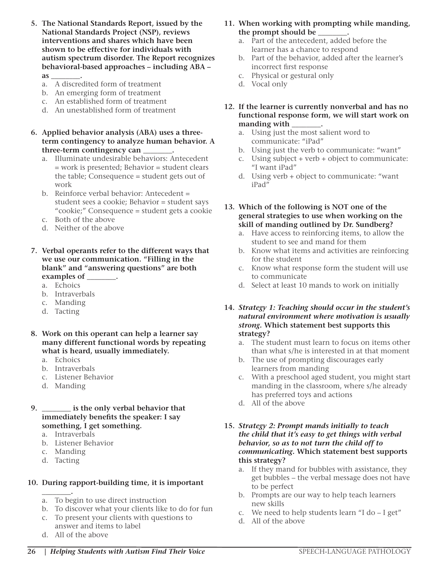- **5. The National Standards Report, issued by the National Standards Project (NSP), reviews interventions and shares which have been shown to be effective for individuals with autism spectrum disorder. The Report recognizes behavioral-based approaches – including ABA – as \_\_\_\_\_\_\_\_.**
	- a. A discredited form of treatment
	- b. An emerging form of treatment
	- c. An established form of treatment
	- d. An unestablished form of treatment
- **6. Applied behavior analysis (ABA) uses a threeterm contingency to analyze human behavior. A three-term contingency can \_\_\_\_\_\_\_\_.**
	- a. Illuminate undesirable behaviors: Antecedent = work is presented; Behavior = student clears the table; Consequence = student gets out of work
	- b. Reinforce verbal behavior: Antecedent = student sees a cookie; Behavior = student says "cookie;" Consequence = student gets a cookie
	- c. Both of the above
	- d. Neither of the above
- **7. Verbal operants refer to the different ways that we use our communication. "Filling in the blank" and "answering questions" are both**  examples of \_\_\_\_\_
	- a. Echoics
	- b. Intraverbals
	- c. Manding
	- d. Tacting
- **8. Work on this operant can help a learner say many different functional words by repeating what is heard, usually immediately.**
	- a. Echoics
	- b. Intraverbals
	- c. Listener Behavior
	- d. Manding
- **9. \_\_\_\_\_\_\_\_ is the only verbal behavior that immediately benefits the speaker: I say something, I get something.**
	- a. Intraverbals
	- b. Listener Behavior
	- c. Manding
	- d. Tacting

#### **10. During rapport-building time, it is important**

- **\_\_\_\_\_\_\_\_.** a. To begin to use direct instruction
- b. To discover what your clients like to do for fun
- c. To present your clients with questions to answer and items to label
- d. All of the above
- **11. When working with prompting while manding, the prompt should be \_\_\_\_\_\_\_\_.**
	- a. Part of the antecedent, added before the learner has a chance to respond
	- b. Part of the behavior, added after the learner's incorrect first response
	- c. Physical or gestural only
	- d. Vocal only
- **12. If the learner is currently nonverbal and has no functional response form, we will start work on manding with \_\_\_\_\_\_\_\_.**
	- a. Using just the most salient word to communicate: "iPad"
	- b. Using just the verb to communicate: "want"
	- c. Using subject + verb + object to communicate: "I want iPad"
	- d. Using verb + object to communicate: "want iPad"
- **13. Which of the following is NOT one of the general strategies to use when working on the skill of manding outlined by Dr. Sundberg?**
	- a. Have access to reinforcing items, to allow the student to see and mand for them
	- b. Know what items and activities are reinforcing for the student
	- c. Know what response form the student will use to communicate
	- d. Select at least 10 mands to work on initially

#### **14.** *Strategy 1: Teaching should occur in the student's natural environment where motivation is usually strong.* **Which statement best supports this strategy?**

- a. The student must learn to focus on items other than what s/he is interested in at that moment
- b. The use of prompting discourages early learners from manding
- c. With a preschool aged student, you might start manding in the classroom, where s/he already has preferred toys and actions
- d. All of the above

#### **15.** *Strategy 2: Prompt mands initially to teach the child that it's easy to get things with verbal behavior, so as to not turn the child off to communicating.* **Which statement best supports this strategy?**

- a. If they mand for bubbles with assistance, they get bubbles – the verbal message does not have to be perfect
- b. Prompts are our way to help teach learners new skills
- c. We need to help students learn "I do I get"
- d. All of the above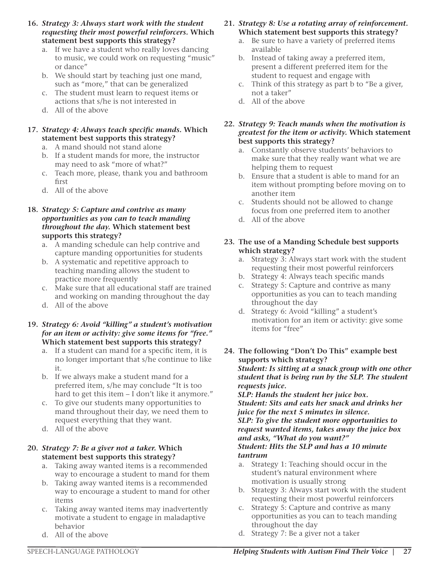- **16.** *Strategy 3: Always start work with the student requesting their most powerful reinforcers.* **Which statement best supports this strategy?**
	- a. If we have a student who really loves dancing to music, we could work on requesting "music" or dance"
	- b. We should start by teaching just one mand, such as "more," that can be generalized
	- c. The student must learn to request items or actions that s/he is not interested in
	- d. All of the above

#### **17.** *Strategy 4: Always teach specific mands.* **Which statement best supports this strategy?**

- a. A mand should not stand alone
- b. If a student mands for more, the instructor may need to ask "more of what?"
- c. Teach more, please, thank you and bathroom first
- d. All of the above

#### **18.** *Strategy 5: Capture and contrive as many opportunities as you can to teach manding throughout the day.* **Which statement best supports this strategy?**

- a. A manding schedule can help contrive and capture manding opportunities for students
- b. A systematic and repetitive approach to teaching manding allows the student to practice more frequently
- c. Make sure that all educational staff are trained and working on manding throughout the day
- d. All of the above

#### **19.** *Strategy 6: Avoid "killing" a student's motivation for an item or activity: give some items for "free."*  **Which statement best supports this strategy?**

- a. If a student can mand for a specific item, it is no longer important that s/he continue to like it.
- b. If we always make a student mand for a preferred item, s/he may conclude "It is too hard to get this item - I don't like it anymore."
- c. To give our students many opportunities to mand throughout their day, we need them to request everything that they want.
- d. All of the above

#### **20.** *Strategy 7: Be a giver not a taker.* **Which statement best supports this strategy?**

- a. Taking away wanted items is a recommended way to encourage a student to mand for them
- b. Taking away wanted items is a recommended way to encourage a student to mand for other items
- c. Taking away wanted items may inadvertently motivate a student to engage in maladaptive behavior
- d. All of the above
- **21.** *Strategy 8: Use a rotating array of reinforcement.* **Which statement best supports this strategy?**
	- a. Be sure to have a variety of preferred items available
	- b. Instead of taking away a preferred item, present a different preferred item for the student to request and engage with
	- c. Think of this strategy as part b to "Be a giver, not a taker"
	- d. All of the above
- **22.** *Strategy 9: Teach mands when the motivation is greatest for the item or activity.* **Which statement best supports this strategy?**
	- a. Constantly observe students' behaviors to make sure that they really want what we are helping them to request
	- b. Ensure that a student is able to mand for an item without prompting before moving on to another item
	- c. Students should not be allowed to change focus from one preferred item to another
	- d. All of the above
- **23. The use of a Manding Schedule best supports which strategy?**
	- a. Strategy 3: Always start work with the student requesting their most powerful reinforcers
	- b. Strategy 4: Always teach specific mands
	- c. Strategy 5: Capture and contrive as many opportunities as you can to teach manding throughout the day
	- d. Strategy 6: Avoid "killing" a student's motivation for an item or activity: give some items for "free"
- **24. The following "Don't Do This" example best supports which strategy?** *Student: Is sitting at a snack group with one other student that is being run by the SLP. The student requests juice.*

*SLP: Hands the student her juice box. Student: Sits and eats her snack and drinks her juice for the next 5 minutes in silence. SLP: To give the student more opportunities to request wanted items, takes away the juice box and asks, "What do you want?" Student: Hits the SLP and has a 10 minute tantrum*

- a. Strategy 1: Teaching should occur in the student's natural environment where motivation is usually strong
- b. Strategy 3: Always start work with the student requesting their most powerful reinforcers
- c. Strategy 5: Capture and contrive as many opportunities as you can to teach manding throughout the day
- d. Strategy 7: Be a giver not a taker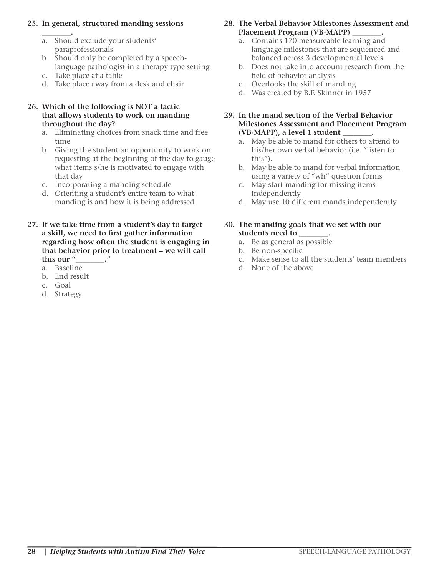#### **25. In general, structured manding sessions**

- **\_\_\_\_\_\_\_\_.** a. Should exclude your students' paraprofessionals
- b. Should only be completed by a speechlanguage pathologist in a therapy type setting
- c. Take place at a table
- d. Take place away from a desk and chair

#### **26. Which of the following is NOT a tactic that allows students to work on manding throughout the day?**

- a. Eliminating choices from snack time and free time
- b. Giving the student an opportunity to work on requesting at the beginning of the day to gauge what items s/he is motivated to engage with that day
- c. Incorporating a manding schedule
- d. Orienting a student's entire team to what manding is and how it is being addressed
- **27. If we take time from a student's day to target a skill, we need to first gather information regarding how often the student is engaging in that behavior prior to treatment – we will call this our "\_\_\_\_\_\_\_\_."**
	- a. Baseline
	- b. End result
	- c. Goal
	- d. Strategy
- **28. The Verbal Behavior Milestones Assessment and Placement Program (VB-MAPP) \_\_\_\_\_\_\_\_.**
	- a. Contains 170 measureable learning and language milestones that are sequenced and balanced across 3 developmental levels
	- b. Does not take into account research from the field of behavior analysis
	- c. Overlooks the skill of manding
	- d. Was created by B.F. Skinner in 1957
- **29. In the mand section of the Verbal Behavior Milestones Assessment and Placement Program (VB-MAPP), a level 1 student \_\_\_\_\_\_\_\_.**
	- a. May be able to mand for others to attend to his/her own verbal behavior (i.e. "listen to this").
	- b. May be able to mand for verbal information using a variety of "wh" question forms
	- c. May start manding for missing items independently
	- d. May use 10 different mands independently

#### **30. The manding goals that we set with our students need to \_\_\_\_\_\_\_\_.**

- a. Be as general as possible
- b. Be non-specific
- c. Make sense to all the students' team members
- d. None of the above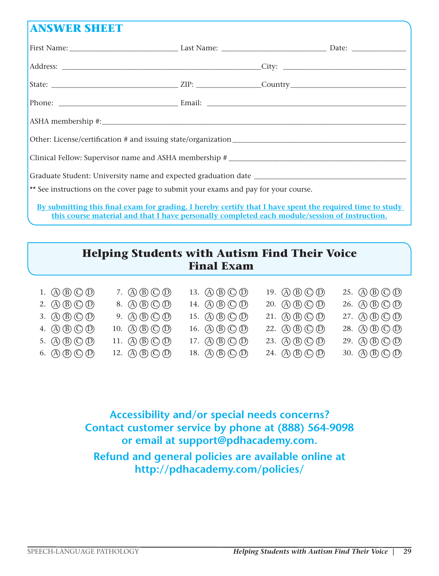### **ANSWER SHEET**

| ** See instructions on the cover page to submit your exams and pay for your course.                            |  |  |
|----------------------------------------------------------------------------------------------------------------|--|--|
| l no se concerta de la contra de la concerta de la concerta de la concerta de la concerta de la concerta de la |  |  |

**By submitting this final exam for grading, I hereby certify that I have spent the required time to study this course material and that I have personally completed each module/session of instruction.**

### **Helping Students with Autism Find Their Voice Final Exam**

|  | 1. $\textcircled{A} \times \textcircled{B} \textcircled{D}$ |  |
|--|-------------------------------------------------------------|--|
|--|-------------------------------------------------------------|--|

- 2. (A) (B) (C) (D)
- 3.  $\mathbb{A} \times \mathbb{B} \times \mathbb{C} \times \mathbb{D}$
- 4.  $\left(\overline{A}\right)\left(\overline{B}\right)\left(\overline{C}\right)\left(\overline{D}\right)$
- 5.  $\mathbb{A} \mathbb{B} \mathbb{C} \mathbb{D}$
- 6.  $\textcircled{A}$   $\textcircled{B}$   $\textcircled{C}$   $\textcircled{D}$

9.  $\mathbb{A} \times \mathbb{B} \mathbb{C} \times \mathbb{D}$ 10.  $\mathbb{A} \mathbb{B} \mathbb{C} \mathbb{D}$ 11.  $\mathbb{(A)}\mathbb{(B)}\mathbb{(C)}\mathbb{(D)}$ 12.  $\mathbb{(A)}\mathbb{(B)}\mathbb{(C)}\mathbb{(D)}$ 

7.  $\mathbb{A} \times \mathbb{B} \mathbb{C} \times \mathbb{D}$ 8. A B C D

18.  $\mathbb{(A)}\mathbb{(B)}\mathbb{(C)}\mathbb{(D)}$ 

13.  $\mathbb{A} \mathbb{B} \mathbb{C} \mathbb{D}$ 14. (A) **B**) **C**) **D** 15. (A) (B) (C) (D) 16. (A)  $(B)$  (C)  $(D)$ 17.  $\mathbb{\left(A\right)}\mathbb{\left(B\right)}\mathbb{\left(\mathbb{O}\right)}$ 19.  $\mathbb{A} \mathbb{B} \mathbb{C} \mathbb{D}$ 24.  $(A)$  $(B)$  $(C)$  $(D)$ 

20. (A B C D 21.  $\mathbb{(A)}\mathbb{(B)}\mathbb{(C)}\mathbb{(D)}$ 

22.  $\mathbb{(A)}\mathbb{(B)}\mathbb{(C)}\mathbb{(D)}$ 23.  $\mathbb{(A)}\mathbb{(B)}\mathbb{(C)}\mathbb{(D)}$ 

28.  $(A)$  $(B)$  $(C)$  $(D)$ 29.  $(A)$  $(B)$  $(C)$  $(D)$ 

30.  $\mathbb{\overline{A}}(\mathbb{B})\mathbb{\overline{O}}(\mathbb{D})$ 

25.  $(A)$  $(B)$  $(C)$  $(D)$ 26. (A) (B) (C) (D) 27.  $(A)$  $(B)$  $(C)$  $(D)$ 

**Accessibility and/or special needs concerns? Contact customer service by phone at (888) 564-9098 or email at support@pdhacademy.com. Refund and general policies are available online at http://pdhacademy.com/policies/**